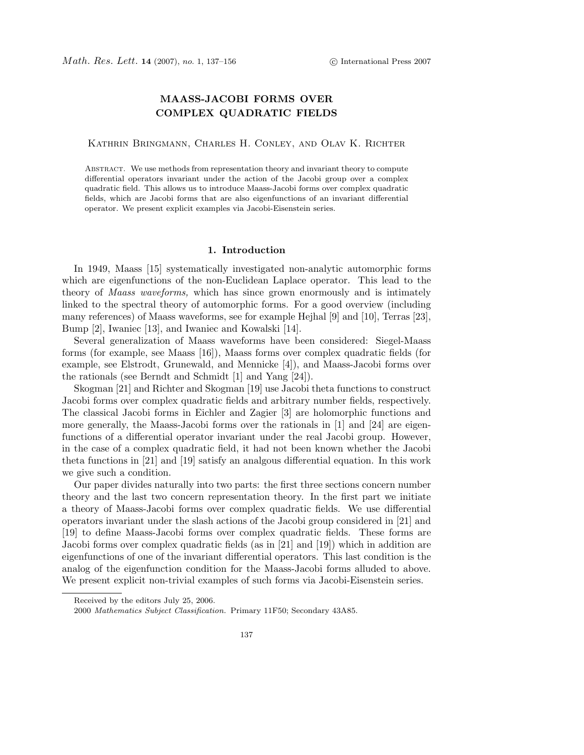# **MAASS-JACOBI FORMS OVER COMPLEX QUADRATIC FIELDS**

Kathrin Bringmann, Charles H. Conley, and Olav K. Richter

Abstract. We use methods from representation theory and invariant theory to compute differential operators invariant under the action of the Jacobi group over a complex quadratic field. This allows us to introduce Maass-Jacobi forms over complex quadratic fields, which are Jacobi forms that are also eigenfunctions of an invariant differential operator. We present explicit examples via Jacobi-Eisenstein series.

# **1. Introduction**

In 1949, Maass [15] systematically investigated non-analytic automorphic forms which are eigenfunctions of the non-Euclidean Laplace operator. This lead to the theory of *Maass waveforms*, which has since grown enormously and is intimately linked to the spectral theory of automorphic forms. For a good overview (including many references) of Maass waveforms, see for example Hejhal [9] and [10], Terras [23], Bump [2], Iwaniec [13], and Iwaniec and Kowalski [14].

Several generalization of Maass waveforms have been considered: Siegel-Maass forms (for example, see Maass [16]), Maass forms over complex quadratic fields (for example, see Elstrodt, Grunewald, and Mennicke [4]), and Maass-Jacobi forms over the rationals (see Berndt and Schmidt [1] and Yang [24]).

Skogman [21] and Richter and Skogman [19] use Jacobi theta functions to construct Jacobi forms over complex quadratic fields and arbitrary number fields, respectively. The classical Jacobi forms in Eichler and Zagier [3] are holomorphic functions and more generally, the Maass-Jacobi forms over the rationals in [1] and [24] are eigenfunctions of a differential operator invariant under the real Jacobi group. However, in the case of a complex quadratic field, it had not been known whether the Jacobi theta functions in [21] and [19] satisfy an analgous differential equation. In this work we give such a condition.

Our paper divides naturally into two parts: the first three sections concern number theory and the last two concern representation theory. In the first part we initiate a theory of Maass-Jacobi forms over complex quadratic fields. We use differential operators invariant under the slash actions of the Jacobi group considered in [21] and [19] to define Maass-Jacobi forms over complex quadratic fields. These forms are Jacobi forms over complex quadratic fields (as in [21] and [19]) which in addition are eigenfunctions of one of the invariant differential operators. This last condition is the analog of the eigenfunction condition for the Maass-Jacobi forms alluded to above. We present explicit non-trivial examples of such forms via Jacobi-Eisenstein series.

Received by the editors July 25, 2006.

<sup>2000</sup> Mathematics Subject Classification. Primary 11F50; Secondary 43A85.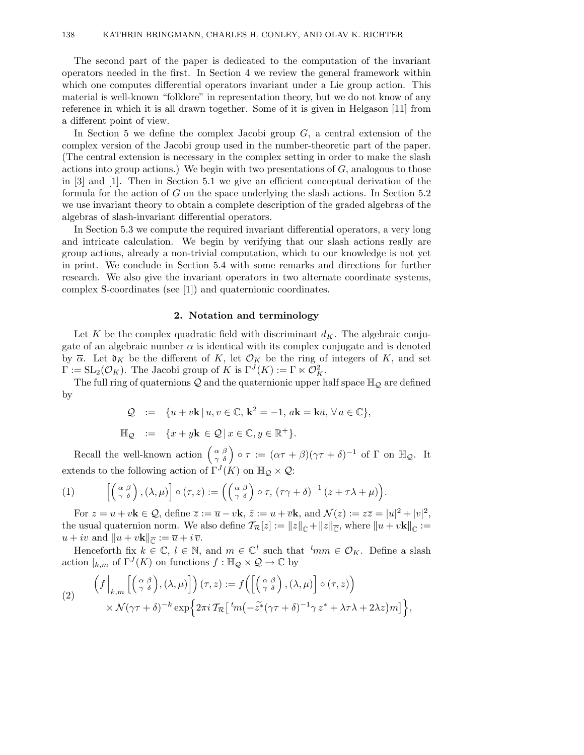The second part of the paper is dedicated to the computation of the invariant operators needed in the first. In Section 4 we review the general framework within which one computes differential operators invariant under a Lie group action. This material is well-known "folklore" in representation theory, but we do not know of any reference in which it is all drawn together. Some of it is given in Helgason [11] from a different point of view.

In Section 5 we define the complex Jacobi group  $G$ , a central extension of the complex version of the Jacobi group used in the number-theoretic part of the paper. (The central extension is necessary in the complex setting in order to make the slash actions into group actions.) We begin with two presentations of  $G$ , analogous to those in [3] and [1]. Then in Section 5.1 we give an efficient conceptual derivation of the formula for the action of G on the space underlying the slash actions. In Section 5.2 we use invariant theory to obtain a complete description of the graded algebras of the algebras of slash-invariant differential operators.

In Section 5.3 we compute the required invariant differential operators, a very long and intricate calculation. We begin by verifying that our slash actions really are group actions, already a non-trivial computation, which to our knowledge is not yet in print. We conclude in Section 5.4 with some remarks and directions for further research. We also give the invariant operators in two alternate coordinate systems, complex S-coordinates (see [1]) and quaternionic coordinates.

# **2. Notation and terminology**

Let K be the complex quadratic field with discriminant  $d_K$ . The algebraic conjugate of an algebraic number  $\alpha$  is identical with its complex conjugate and is denoted by  $\overline{\alpha}$ . Let  $\mathfrak{d}_K$  be the different of K, let  $\mathcal{O}_K$  be the ring of integers of K, and set  $\Gamma := SL_2(\mathcal{O}_K)$ . The Jacobi group of K is  $\Gamma^{J}(K) := \Gamma \ltimes \mathcal{O}_K^2$ .

The full ring of quaternions  $\mathcal Q$  and the quaternionic upper half space  $\mathbb H_{\mathcal Q}$  are defined by

$$
Q := \{ u + v\mathbf{k} \mid u, v \in \mathbb{C}, \, \mathbf{k}^2 = -1, \, a\mathbf{k} = \mathbf{k}\overline{a}, \, \forall \, a \in \mathbb{C} \},
$$

$$
\mathbb{H}_{\mathcal{Q}} \quad := \quad \{x + y\mathbf{k} \in \mathcal{Q} \,|\, x \in \mathbb{C}, y \in \mathbb{R}^+\}.
$$

Recall the well-known action  $\begin{pmatrix} \alpha & \beta \\ \gamma & \delta \end{pmatrix} \circ \tau := (\alpha \tau + \beta)(\gamma \tau + \delta)^{-1}$  of  $\Gamma$  on  $\mathbb{H}_{\mathcal{Q}}$ . It extends to the following action of  $\Gamma^{J}(K)$  on  $\mathbb{H}_{\mathcal{Q}}\times\mathcal{Q}$ :

(1) 
$$
\left[ \begin{pmatrix} \alpha & \beta \\ \gamma & \delta \end{pmatrix}, (\lambda, \mu) \right] \circ (\tau, z) := \left( \begin{pmatrix} \alpha & \beta \\ \gamma & \delta \end{pmatrix} \circ \tau, (\tau \gamma + \delta)^{-1} (z + \tau \lambda + \mu) \right).
$$

For  $z = u + v\mathbf{k} \in \mathcal{Q}$ , define  $\overline{z} := \overline{u} - v\mathbf{k}$ ,  $\tilde{z} := u + \overline{v}\mathbf{k}$ , and  $\mathcal{N}(z) := z\overline{z} = |u|^2 + |v|^2$ , the usual quaternion norm. We also define  $\mathcal{T}_{\mathcal{R}}[z] := ||z||_{\mathbb{C}} + ||z||_{\overline{\mathbb{C}}}$ , where  $||u + v\mathbf{k}||_{\mathbb{C}} :=$  $u + iv$  and  $||u + v\mathbf{k}||_{\overline{C}} := \overline{u} + i\,\overline{v}.$ 

Henceforth fix  $k \in \mathbb{C}, l \in \mathbb{N}$ , and  $m \in \mathbb{C}^l$  such that  $t_{mm} \in \mathcal{O}_K$ . Define a slash action  $|_{k,m}$  of  $\Gamma^J(K)$  on functions  $f : \mathbb{H}_{\mathcal{Q}} \times \mathcal{Q} \to \mathbb{C}$  by

$$
\begin{array}{ll}\n\left(f\left|_{k,m}\left[\left(\begin{array}{c} \alpha \ \beta \\ \gamma \ \delta \end{array}\right),(\lambda,\mu)\right]\right)(\tau,z) := f\left(\left[\left(\begin{array}{c} \alpha \ \beta \\ \gamma \ \delta \end{array}\right),(\lambda,\mu)\right] \circ (\tau,z)\right) \\
\times \mathcal{N}(\gamma\tau+\delta)^{-k} \exp\Big\{2\pi i \mathcal{T}_{\mathcal{R}}\big[\,{}^t\!m\big(-\widetilde{z}^*(\gamma\tau+\delta)^{-1}\gamma\,z^* + \lambda\tau\lambda + 2\lambda z\big)m\big]\Big\},\n\end{array}
$$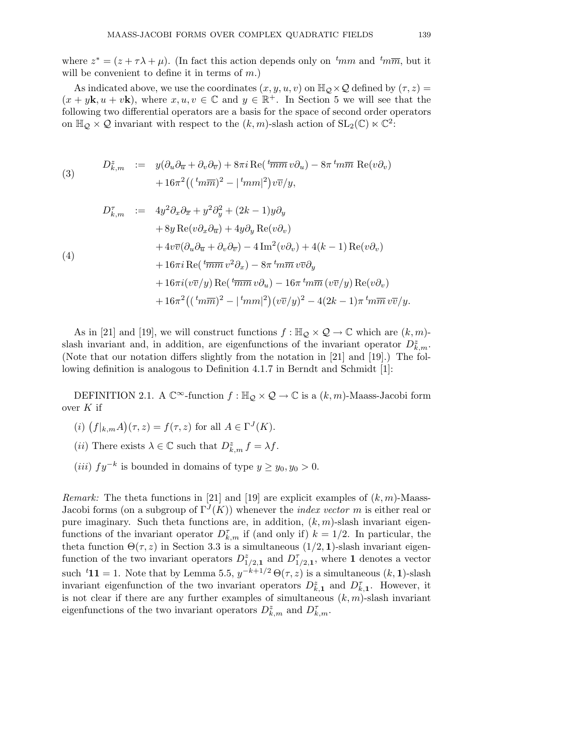where  $z^* = (z + \tau \lambda + \mu)$ . (In fact this action depends only on  $t_{mm}$  and  $t_{mm}$ , but it will be convenient to define it in terms of  $m$ .)

As indicated above, we use the coordinates  $(x, y, u, v)$  on  $\mathbb{H}_{\mathcal{Q}} \times \mathcal{Q}$  defined by  $(\tau, z) =$  $(x + y\mathbf{k}, u + v\mathbf{k})$ , where  $x, u, v \in \mathbb{C}$  and  $y \in \mathbb{R}^+$ . In Section 5 we will see that the following two differential operators are a basis for the space of second order operators on  $\mathbb{H}_{\mathcal{Q}} \times \mathcal{Q}$  invariant with respect to the  $(k,m)$ -slash action of  $SL_2(\mathbb{C}) \ltimes \mathbb{C}^2$ :

(3) 
$$
D_{k,m}^{z} := y(\partial_{u}\partial_{\overline{u}} + \partial_{v}\partial_{\overline{v}}) + 8\pi i \operatorname{Re}(\sqrt[k]{m_{m}} v \partial_{u}) - 8\pi \sqrt[k]{m_{m}} \operatorname{Re}(v \partial_{v}) + 16\pi^{2}((\sqrt[k]{m_{m}})^{2} - |\sqrt[k]{m_{m}}|^{2})v\overline{v}/y,
$$

$$
D_{k,m}^{\tau} := 4y^2 \partial_x \partial_{\overline{x}} + y^2 \partial_y^2 + (2k - 1)y \partial_y
$$
  
+ 8y Re $(v \partial_x \partial_{\overline{u}}) + 4y \partial_y$  Re $(v \partial_v)$   
+ 4v $\overline{v} (\partial_u \partial_{\overline{u}} + \partial_v \partial_{\overline{v}}) - 4 \operatorname{Im}^2 (v \partial_v) + 4(k - 1) \operatorname{Re}(v \partial_v)$   
+ 16\pi i Re $({}^t \overline{m} \overline{m} v^2 \partial_x) - 8\pi {}^t m \overline{m} v \overline{v} \partial_y$   
+ 16\pi i  $(v \overline{v}/y) \operatorname{Re}({}^t \overline{m} \overline{m} v \partial_u) - 16\pi {}^t m \overline{m} (v \overline{v}/y) \operatorname{Re}(v \partial_v)$   
+ 16\pi^2 (({}^t m \overline{m})^2 - |{}^t m m|^2)(v \overline{v}/y)^2 - 4(2k - 1)\pi {}^t m \overline{m} v \overline{v}/y.

As in [21] and [19], we will construct functions  $f : \mathbb{H}_{\mathcal{Q}} \times \mathcal{Q} \to \mathbb{C}$  which are  $(k,m)$ slash invariant and, in addition, are eigenfunctions of the invariant operator  $D_{k,m}^z$ . (Note that our notation differs slightly from the notation in [21] and [19].) The following definition is analogous to Definition 4.1.7 in Berndt and Schmidt [1]:

DEFINITION 2.1. A  $\mathbb{C}^{\infty}$ -function  $f : \mathbb{H}_{\mathcal{Q}} \times \mathcal{Q} \to \mathbb{C}$  is a  $(k, m)$ -Maass-Jacobi form over  $K$  if

- (i)  $(f|_{k,m}A)(\tau,z) = f(\tau,z)$  for all  $A \in \Gamma^J(K)$ .
- (*ii*) There exists  $\lambda \in \mathbb{C}$  such that  $D_{k,m}^z f = \lambda f$ .
- (iii)  $fy^{-k}$  is bounded in domains of type  $y \ge y_0, y_0 > 0$ .

*Remark:* The theta functions in [21] and [19] are explicit examples of  $(k, m)$ -Maass-Jacobi forms (on a subgroup of  $\Gamma^{J}(K)$ ) whenever the *index vector* m is either real or pure imaginary. Such theta functions are, in addition,  $(k, m)$ -slash invariant eigenfunctions of the invariant operator  $D_{k,m}^{\tau}$  if (and only if)  $k = 1/2$ . In particular, the theta function  $\Theta(\tau, z)$  in Section 3.3 is a simultaneous  $(1/2, 1)$ -slash invariant eigenfunction of the two invariant operators  $D_{1/2,1}^z$  and  $D_{1/2,1}^{\tau}$ , where **1** denotes a vector such <sup>t</sup>**11** = 1. Note that by Lemma 5.5,  $y^{-k+1/2} \Theta(\tau, z)$  is a simultaneous  $(k, 1)$ -slash invariant eigenfunction of the two invariant operators  $D_{k,1}^z$  and  $D_{k,1}^{\tau}$ . However, it is not clear if there are any further examples of simultaneous  $(k, m)$ -slash invariant eigenfunctions of the two invariant operators  $D_{k,m}^z$  and  $D_{k,m}^{\tau}$ .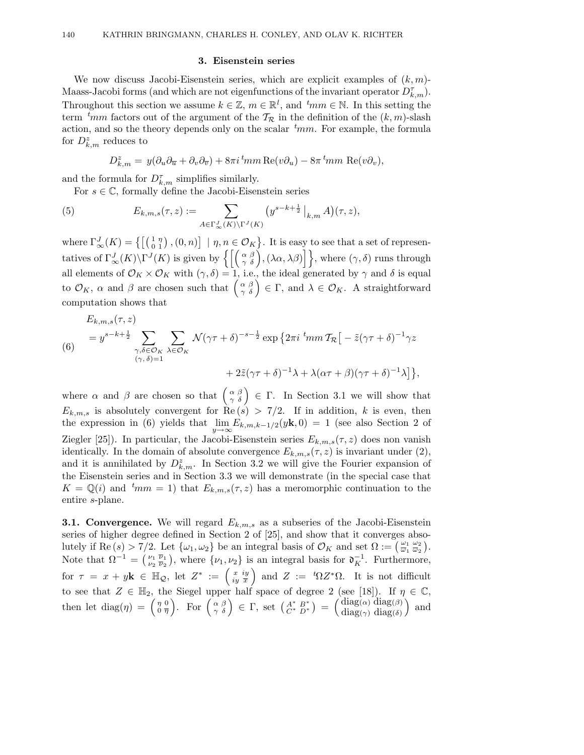# **3. Eisenstein series**

We now discuss Jacobi-Eisenstein series, which are explicit examples of  $(k, m)$ -Maass-Jacobi forms (and which are not eigenfunctions of the invariant operator  $D_{k,m}^{\tau}$ ). Throughout this section we assume  $k \in \mathbb{Z}$ ,  $m \in \mathbb{R}^l$ , and  $\,^t m m \in \mathbb{N}$ . In this setting the term  $t_{mm}$  factors out of the argument of the  $\mathcal{T}_{\mathcal{R}}$  in the definition of the  $(k,m)$ -slash action, and so the theory depends only on the scalar  $\,t_{mm}$ . For example, the formula for  $D_{k,m}^{\tilde{z}}$  reduces to

$$
D_{k,m}^{z} = y(\partial_{u}\partial_{\overline{u}} + \partial_{v}\partial_{\overline{v}}) + 8\pi i \, {}^{t} \! mm \operatorname{Re}(v\partial_{u}) - 8\pi \, {}^{t} \! mm \operatorname{Re}(v\partial_{v}),
$$

and the formula for  $D_{k,m}^{\tau}$  simplifies similarly.

For  $s \in \mathbb{C}$ , formally define the Jacobi-Eisenstein series

(5) 
$$
E_{k,m,s}(\tau,z) := \sum_{A \in \Gamma_{\infty}^J(K) \backslash \Gamma^J(K)} \left( y^{s-k+\frac{1}{2}} \big|_{k,m} A \right) (\tau,z),
$$

where  $\Gamma_{\infty}^{J}(K) = \left\{ \begin{bmatrix} \begin{pmatrix} 1 & \eta \\ 0 & 1 \end{pmatrix}, (0, n) \end{bmatrix} \mid \eta, n \in \mathcal{O}_K \right\}$ . It is easy to see that a set of representatives of  $\Gamma^J_\infty(K)\backslash \Gamma^J(K)$  is given by  $\left\{ \left[ \left( \begin{array}{cc} \alpha & \beta \\ \gamma & \delta \end{array} \right) , (\lambda \alpha, \lambda \beta) \right] \right\}$ , where  $(\gamma, \delta)$  runs through all elements of  $\mathcal{O}_K \times \mathcal{O}_K$  with  $(\gamma, \delta) = 1$ , i.e., the ideal generated by  $\gamma$  and  $\delta$  is equal to  $\mathcal{O}_K$ ,  $\alpha$  and  $\beta$  are chosen such that  $\left(\begin{array}{c} \alpha & \beta \\ \gamma & \delta \end{array}\right) \in \Gamma$ , and  $\lambda \in \mathcal{O}_K$ . A straightforward computation shows that

$$
E_{k,m,s}(\tau,z)
$$
\n
$$
= y^{s-k+\frac{1}{2}} \sum_{\substack{\gamma,\delta \in \mathcal{O}_K \\ (\gamma,\delta)=1}} \sum_{\lambda \in \mathcal{O}_K} \mathcal{N}(\gamma \tau + \delta)^{-s-\frac{1}{2}} \exp\left\{2\pi i \, \lim_{\gamma \to \infty} T_{\mathcal{R}}\left[-\tilde{z}(\gamma \tau + \delta)^{-1} \gamma z + 2\tilde{z}(\gamma \tau + \delta)^{-1} \lambda + \lambda(\alpha \tau + \beta)(\gamma \tau + \delta)^{-1} \lambda\right]\right\},\,
$$

where  $\alpha$  and  $\beta$  are chosen so that  $\begin{pmatrix} \alpha & \beta \\ \gamma & \delta \end{pmatrix} \in \Gamma$ . In Section 3.1 we will show that  $E_{k,m,s}$  is absolutely convergent for  $\text{Re}(s) > 7/2$ . If in addition, k is even, then the expression in (6) yields that  $\lim_{y \to \infty} E_{k,m,k-1/2}(y\mathbf{k},0) = 1$  (see also Section 2 of Ziegler [25]). In particular, the Jacobi-Eisenstein series  $E_{k,m,s}(\tau,z)$  does non vanish identically. In the domain of absolute convergence  $E_{k,m,s}(\tau,z)$  is invariant under (2), and it is annihilated by  $D_{k,m}^z$ . In Section 3.2 we will give the Fourier expansion of the Eisenstein series and in Section 3.3 we will demonstrate (in the special case that  $K = \mathbb{Q}(i)$  and  ${}^{t}mm = 1$ ) that  $E_{k,m,s}(\tau,z)$  has a meromorphic continuation to the entire s-plane.

**3.1. Convergence.** We will regard  $E_{k,m,s}$  as a subseries of the Jacobi-Eisenstein series of higher degree defined in Section 2 of [25], and show that it converges absolutely if Re  $(s) > 7/2$ . Let  $\{\omega_1, \omega_2\}$  be an integral basis of  $\mathcal{O}_K$  and set  $\Omega := \left(\frac{\omega_1}{\omega_1} \frac{\omega_2}{\omega_2}\right)$ . Note that  $\Omega^{-1} = \begin{pmatrix} \nu_1 & \overline{\nu}_1 \\ \nu_2 & \overline{\nu}_2 \end{pmatrix}$ , where  $\{\nu_1, \nu_2\}$  is an integral basis for  $\mathfrak{d}_K^{-1}$ . Furthermore, for  $\tau = x + y\mathbf{k} \in \mathbb{H}_{\mathcal{Q}}$ , let  $Z^* := \left(\begin{array}{c} x \\ iy \end{array} \right)$  and  $Z := {}^t\Omega Z^*\Omega$ . It is not difficult to see that  $Z \in \mathbb{H}_2$ , the Siegel upper half space of degree 2 (see [18]). If  $\eta \in \mathbb{C}$ , then let diag( $\eta$ ) =  $\begin{pmatrix} \eta & 0 \\ 0 & \overline{\eta} \end{pmatrix}$ ). For  $\begin{pmatrix} \alpha & \beta \\ \gamma & \delta \end{pmatrix} \in \Gamma$ , set  $\begin{pmatrix} A^* & B^* \\ C^* & D^* \end{pmatrix} = \begin{pmatrix} \text{diag}(\alpha) & \text{diag}(\beta) \\ \text{diag}(\gamma) & \text{diag}(\delta) \end{pmatrix}$ diag( $\gamma$ ) diag( $\delta$ ) ) and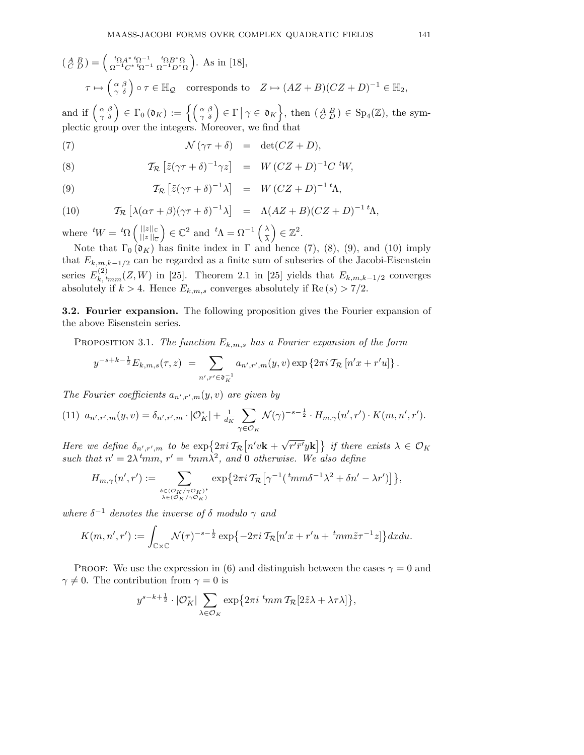$$
\begin{aligned} \left(\begin{smallmatrix} A & B \\ C & D \end{smallmatrix}\right) &= \begin{pmatrix} \iota_{\Omega} A^* \iota_{\Omega}^{-1} & \iota_{\Omega} B^* \Omega \\ \Omega^{-1} C^* \iota_{\Omega}^{-1} & \Omega^{-1} D^* \Omega \end{pmatrix} . \text{ As in [18],} \\ \tau &\mapsto \begin{pmatrix} \alpha & \beta \\ \gamma & \delta \end{pmatrix} \circ \tau \in \mathbb{H}_{\mathcal{Q}} \quad \text{corresponds to} \quad Z \mapsto (AZ + B)(CZ + D)^{-1} \in \mathbb{H}_{2}, \end{aligned}
$$

and if  $\begin{pmatrix} \alpha & \beta \\ \gamma & \delta \end{pmatrix} \in \Gamma_0(\mathfrak{d}_K) := \left\{ \begin{pmatrix} \alpha & \beta \\ \gamma & \delta \end{pmatrix} \in \Gamma \, \middle| \, \gamma \in \mathfrak{d}_K \right\}$ , then  $\left( \begin{smallmatrix} A & B \\ C & D \end{smallmatrix} \right) \in \text{Sp}_4(\mathbb{Z})$ , the symplectic group over the integers. Moreover, we find that

(7) 
$$
\mathcal{N}(\gamma \tau + \delta) = \det(CZ + D),
$$

(8) 
$$
\mathcal{T}_{\mathcal{R}}\left[\tilde{z}(\gamma\tau+\delta)^{-1}\gamma z\right] = W(CZ+D)^{-1}C \,^tW,
$$

(9) 
$$
\mathcal{T}_{\mathcal{R}}\left[\tilde{z}(\gamma\tau+\delta)^{-1}\lambda\right] = W(CZ+D)^{-1}{}^{t}\Lambda,
$$

(10)  $\mathcal{T}_{\mathcal{R}}\left[\lambda(\alpha\tau+\beta)(\gamma\tau+\delta)^{-1}\lambda\right] = \Lambda(AZ+B)(CZ+D)^{-1}{}^{t}\Lambda,$ 

where  ${}^tW = {}^t\Omega \left( \frac{||z||_0}{||z||_0}\right)$  $\left\Vert z\right\Vert _{\overline{\mathbb{C}}}$  $\Big) \in \mathbb{C}^2$  and  ${}^t \Lambda = \Omega^{-1} \left( \frac{\lambda}{\lambda} \right)$ λ  $\Big) \in \mathbb{Z}^2.$ 

Note that  $\Gamma_0$  ( $\mathfrak{d}_K$ ) has finite index in  $\Gamma$  and hence (7), (8), (9), and (10) imply that  $E_{k,m,k-1/2}$  can be regarded as a finite sum of subseries of the Jacobi-Eisenstein series  $E_{k, tmm}^{(2)}(Z, W)$  in [25]. Theorem 2.1 in [25] yields that  $E_{k,m,k-1/2}$  converges absolutely if  $k > 4$ . Hence  $E_{k,m,s}$  converges absolutely if Re  $(s) > 7/2$ .

**3.2. Fourier expansion.** The following proposition gives the Fourier expansion of the above Eisenstein series.

PROPOSITION 3.1. The function  $E_{k,m,s}$  has a Fourier expansion of the form

$$
y^{-s+k-\frac{1}{2}} E_{k,m,s}(\tau,z) = \sum_{n',r' \in \mathfrak{d}_{K}^{-1}} a_{n',r',m}(y,v) \exp \{2\pi i \mathcal{T}_{\mathcal{R}} [n'x + r'u] \}.
$$

The Fourier coefficients  $a_{n',r',m}(y, v)$  are given by

(11) 
$$
a_{n',r',m}(y,v) = \delta_{n',r',m} \cdot |\mathcal{O}_K^*| + \frac{1}{d_K} \sum_{\gamma \in \mathcal{O}_K} \mathcal{N}(\gamma)^{-s-\frac{1}{2}} \cdot H_{m,\gamma}(n',r') \cdot K(m,n',r').
$$

Here we define  $\delta_{n',r',m}$  to be  $\exp\left\{2\pi i \mathcal{T}_{\mathcal{R}}\left[n'v\mathbf{k} + \sqrt{r'\bar{r}'}y\mathbf{k}\right]\right\}$  if there exists  $\lambda \in \mathcal{O}_K$ such that  $n' = 2\lambda^t m m$ ,  $r' = \frac{t m}{\lambda^2}$ , and 0 otherwise. We also define

$$
H_{m,\gamma}(n',r') := \sum_{\substack{\delta \in (\mathcal{O}_K/\gamma \mathcal{O}_K)^* \\ \lambda \in (\mathcal{O}_K/\gamma \mathcal{O}_K)}} \exp\big\{2\pi i \mathcal{T}_{\mathcal{R}}\big[\gamma^{-1}(\,{}^t m m \delta^{-1} \lambda^2 + \delta n' - \lambda r')\big]\big\},
$$

where  $\delta^{-1}$  denotes the inverse of  $\delta$  modulo  $\gamma$  and

$$
K(m, n', r') := \int_{\mathbb{C}\times\mathbb{C}} \mathcal{N}(\tau)^{-s-\frac{1}{2}} \exp\{-2\pi i \mathcal{T}_{\mathcal{R}}[n'x + r'u + \,^t m m \tilde{z}\tau^{-1}z]\} dx du.
$$

PROOF: We use the expression in (6) and distinguish between the cases  $\gamma = 0$  and  $\gamma \neq 0$ . The contribution from  $\gamma = 0$  is

$$
y^{s-k+\frac{1}{2}}\cdot |\mathcal{O}_K^*| \sum_{\lambda\in\mathcal{O}_K} \exp\bigl\{2\pi i \;{}^t\!mm\,\mathcal{T}_{\mathcal{R}}[2\tilde z\lambda + \lambda\tau\lambda]\bigr\},
$$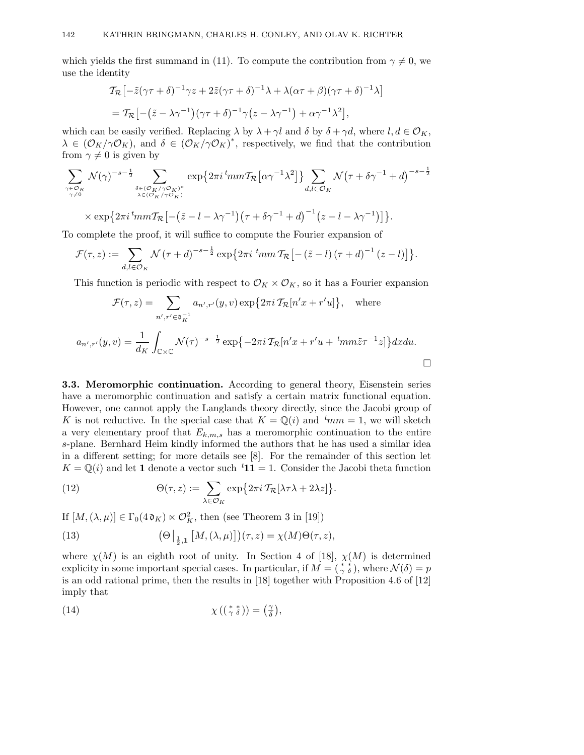which yields the first summand in (11). To compute the contribution from  $\gamma \neq 0$ , we use the identity

$$
\mathcal{T}_{\mathcal{R}}\left[-\tilde{z}(\gamma\tau+\delta)^{-1}\gamma z+2\tilde{z}(\gamma\tau+\delta)^{-1}\lambda+\lambda(\alpha\tau+\beta)(\gamma\tau+\delta)^{-1}\lambda\right]
$$
  
= 
$$
\mathcal{T}_{\mathcal{R}}\left[-(\tilde{z}-\lambda\gamma^{-1})(\gamma\tau+\delta)^{-1}\gamma(z-\lambda\gamma^{-1})+\alpha\gamma^{-1}\lambda^{2}\right],
$$

which can be easily verified. Replacing  $\lambda$  by  $\lambda + \gamma l$  and  $\delta$  by  $\delta + \gamma d$ , where  $l, d \in \mathcal{O}_K$ ,  $\lambda \in (\mathcal{O}_K/\gamma \mathcal{O}_K)$ , and  $\delta \in (\mathcal{O}_K/\gamma \mathcal{O}_K)^*$ , respectively, we find that the contribution from  $\gamma \neq 0$  is given by

$$
\sum_{\substack{\gamma \in \mathcal{O}_K \\ \gamma \neq 0}} \mathcal{N}(\gamma)^{-s-\frac{1}{2}} \sum_{\substack{\delta \in (\mathcal{O}_K/\gamma\mathcal{O}_K)^* \\ \lambda \in (\mathcal{O}_K/\gamma\mathcal{O}_K)}} \exp\left\{2\pi i \, {^tmm}\mathcal{T}_{\mathcal{R}}\left[\alpha \gamma^{-1} \lambda^2\right]\right\} \sum_{d,l \in \mathcal{O}_K} \mathcal{N}\left(\tau + \delta \gamma^{-1} + d\right)^{-s-\frac{1}{2}}
$$

 $\times \exp\left\{2\pi i \, {}^tmm\mathcal{T}_{\mathcal{R}}\left[-\left(\tilde{z}-l-\lambda\gamma^{-1}\right)\left(\tau+\delta\gamma^{-1}+d\right)^{-1}\left(z-l-\lambda\gamma^{-1}\right)\right]\right\}.$ 

To complete the proof, it will suffice to compute the Fourier expansion of

$$
\mathcal{F}(\tau,z) := \sum_{d,l \in \mathcal{O}_K} \mathcal{N}(\tau+d)^{-s-\frac{1}{2}} \exp\{2\pi i \, \, \text{Im} \, \pi \mathcal{T}_{\mathcal{R}}\left[-\left(\tilde{z}-l\right)\left(\tau+d\right)^{-1}\left(z-l\right)\right]\}.
$$

This function is periodic with respect to  $\mathcal{O}_K \times \mathcal{O}_K$ , so it has a Fourier expansion

$$
\mathcal{F}(\tau, z) = \sum_{n', r' \in \mathfrak{d}_K^{-1}} a_{n', r'}(y, v) \exp\{2\pi i \mathcal{T}_{\mathcal{R}}[n'x + r'u]\}, \text{ where}
$$
\n
$$
a_{n', r'}(y, v) = \frac{1}{d_K} \int_{\mathbb{C} \times \mathbb{C}} \mathcal{N}(\tau)^{-s - \frac{1}{2}} \exp\{-2\pi i \mathcal{T}_{\mathcal{R}}[n'x + r'u + \, ^t m m \tilde{z}\tau^{-1}z]\} dx du.
$$

**3.3. Meromorphic continuation.** According to general theory, Eisenstein series have a meromorphic continuation and satisfy a certain matrix functional equation. However, one cannot apply the Langlands theory directly, since the Jacobi group of K is not reductive. In the special case that  $K = \mathbb{Q}(i)$  and  ${}^{t}mm = 1$ , we will sketch a very elementary proof that  $E_{k,m,s}$  has a meromorphic continuation to the entire s-plane. Bernhard Heim kindly informed the authors that he has used a similar idea in a different setting; for more details see [8]. For the remainder of this section let  $K = \mathbb{Q}(i)$  and let **1** denote a vector such  ${}^t\mathbf{11} = 1$ . Consider the Jacobi theta function

(12) 
$$
\Theta(\tau,z) := \sum_{\lambda \in \mathcal{O}_K} \exp\{2\pi i \mathcal{T}_{\mathcal{R}}[\lambda \tau \lambda + 2\lambda z]\}.
$$

If  $[M, (\lambda, \mu)] \in \Gamma_0(4 \mathfrak{d}_K) \ltimes \mathcal{O}_K^2$ , then (see Theorem 3 in [19])

(13) 
$$
\left(\Theta\left|\frac{1}{\frac{1}{2},1}\left[M,\left(\lambda,\mu\right)\right]\right)(\tau,z)=\chi(M)\Theta(\tau,z),
$$

where  $\chi(M)$  is an eighth root of unity. In Section 4 of [18],  $\chi(M)$  is determined explicity in some important special cases. In particular, if  $M = (\begin{smallmatrix} * & * \\ \gamma & \delta \end{smallmatrix})$ , where  $\mathcal{N}(\delta) = p$ is an odd rational prime, then the results in [18] together with Proposition 4.6 of [12] imply that

(14) 
$$
\chi\left(\left(\begin{smallmatrix} * & * \\ \gamma & \delta \end{smallmatrix}\right)\right) = \left(\begin{smallmatrix} \gamma \\ \delta \end{smallmatrix}\right),
$$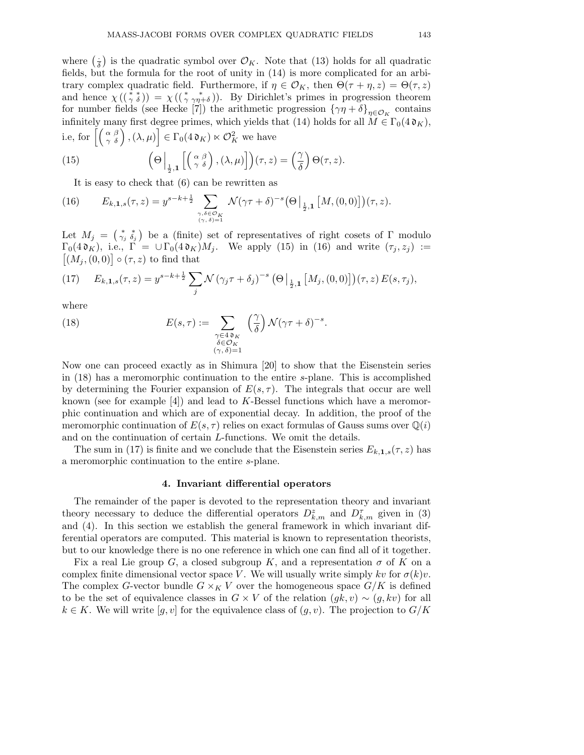where  $\left(\frac{1}{\delta}\right)$  is the quadratic symbol over  $\mathcal{O}_K$ . Note that (13) holds for all quadratic fields, but the formula for the root of unity in (14) is more complicated for an arbitrary complex quadratic field. Furthermore, if  $\eta \in \mathcal{O}_K$ , then  $\Theta(\tau + \eta, z) = \Theta(\tau, z)$ and hence  $\chi((\gamma^*,\delta)) = \chi((\gamma^*,\gamma^*_{\eta+\delta}))$ . By Dirichlet's primes in progression theorem for number fields (see Hecke [7]) the arithmetic progression  $\{\gamma\eta + \delta\}_{\eta \in \mathcal{O}_K}$  contains infinitely many first degree primes, which yields that (14) holds for all  $M \in \Gamma_0(4\mathfrak{d}_K)$ , i.e, for  $\left[\left(\begin{array}{cc} \alpha & \beta \\ \gamma & \delta \end{array}\right),(\lambda,\mu)\right] \in \Gamma_0(4\mathfrak{d}_K) \ltimes \mathcal{O}_K^2$  we have

(15) 
$$
\left(\Theta\Big|_{\frac{1}{2},1}\left[\left(\begin{array}{c} \alpha & \beta \\ \gamma & \delta \end{array}\right), (\lambda,\mu)\right]\right)(\tau,z) = \left(\frac{\gamma}{\delta}\right)\Theta(\tau,z).
$$

It is easy to check that (6) can be rewritten as

(16) 
$$
E_{k,1,s}(\tau,z) = y^{s-k+\frac{1}{2}} \sum_{\substack{\gamma,\delta \in \mathcal{O}_K \\ (\gamma,\delta)=1}} \mathcal{N}(\gamma\tau+\delta)^{-s} \big(\Theta\big|_{\frac{1}{2},1} [M,(0,0)]\big)(\tau,z).
$$

Let  $M_j = \begin{pmatrix} * & * \\ \gamma_j & \delta_j \end{pmatrix}$  be a (finite) set of representatives of right cosets of  $\Gamma$  modulo  $\Gamma_0(4\mathfrak{d}_K)$ , i.e.,  $\Gamma = \cup \Gamma_0(4\mathfrak{d}_K)M_j$ . We apply (15) in (16) and write  $(\tau_j, z_j) :=$  $[(M_j, (0, 0)] \circ (\tau, z)$  to find that

(17) 
$$
E_{k,1,s}(\tau,z) = y^{s-k+\frac{1}{2}} \sum_{j} \mathcal{N} (\gamma_j \tau + \delta_j)^{-s} (\Theta|_{\frac{1}{2},1} [M_j, (0,0)])(\tau, z) E(s, \tau_j),
$$

where

(18) 
$$
E(s,\tau) := \sum_{\substack{\gamma \in 4 \mathfrak{d}_K \\ \delta \in \mathcal{O}_K \\ (\gamma,\delta)=1}} \left(\frac{\gamma}{\delta}\right) \mathcal{N}(\gamma \tau + \delta)^{-s}.
$$

Now one can proceed exactly as in Shimura [20] to show that the Eisenstein series in (18) has a meromorphic continuation to the entire s-plane. This is accomplished by determining the Fourier expansion of  $E(s, \tau)$ . The integrals that occur are well known (see for example  $[4]$ ) and lead to K-Bessel functions which have a meromorphic continuation and which are of exponential decay. In addition, the proof of the meromorphic continuation of  $E(s, \tau)$  relies on exact formulas of Gauss sums over  $\mathbb{Q}(i)$ and on the continuation of certain L-functions. We omit the details.

The sum in (17) is finite and we conclude that the Eisenstein series  $E_{k,1,s}(\tau,z)$  has a meromorphic continuation to the entire s-plane.

# **4. Invariant differential operators**

The remainder of the paper is devoted to the representation theory and invariant theory necessary to deduce the differential operators  $D_{k,m}^z$  and  $D_{k,m}^{\tau}$  given in (3) and (4). In this section we establish the general framework in which invariant differential operators are computed. This material is known to representation theorists, but to our knowledge there is no one reference in which one can find all of it together.

Fix a real Lie group G, a closed subgroup K, and a representation  $\sigma$  of K on a complex finite dimensional vector space V. We will usually write simply kv for  $\sigma(k)v$ . The complex G-vector bundle  $G \times_K V$  over the homogeneous space  $G/K$  is defined to be the set of equivalence classes in  $G \times V$  of the relation  $(gk, v) \sim (g, kv)$  for all  $k \in K$ . We will write  $[g, v]$  for the equivalence class of  $(g, v)$ . The projection to  $G/K$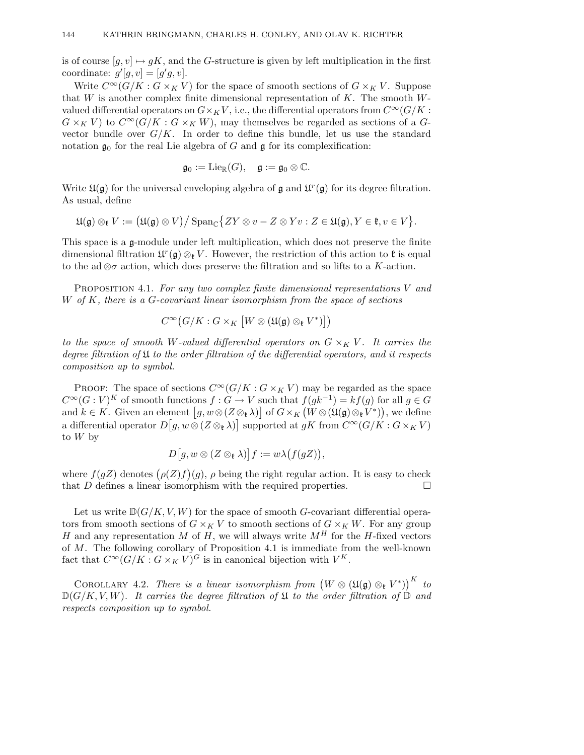is of course  $[g, v] \mapsto gK$ , and the G-structure is given by left multiplication in the first coordinate:  $g'[g, v] = [g'g, v]$ .

Write  $C^{\infty}(G/K : G \times_K V)$  for the space of smooth sections of  $G \times_K V$ . Suppose that  $W$  is another complex finite dimensional representation of  $K$ . The smooth  $W$ valued differential operators on  $G\times_K V$ , i.e., the differential operators from  $C^\infty(G/K)$ :  $G \times_K V$  to  $C^{\infty}(G/K : G \times_K W)$ , may themselves be regarded as sections of a Gvector bundle over  $G/K$ . In order to define this bundle, let us use the standard notation  $\mathfrak{g}_0$  for the real Lie algebra of G and  $\mathfrak{g}$  for its complexification:

$$
\mathfrak{g}_0:=\mathrm{Lie}_{\mathbb{R}}(G),\quad \mathfrak{g}:=\mathfrak{g}_0\otimes \mathbb{C}.
$$

Write  $\mathfrak{U}(\mathfrak{g})$  for the universal enveloping algebra of  $\mathfrak{g}$  and  $\mathfrak{U}^r(\mathfrak{g})$  for its degree filtration. As usual, define

$$
\mathfrak{U}(\mathfrak{g}) \otimes_{\mathfrak{k}} V := \big( \mathfrak{U}(\mathfrak{g}) \otimes V \big) \big/ \operatorname{Span}_{\mathbb{C}} \big\{ ZY \otimes v - Z \otimes Yv : Z \in \mathfrak{U}(\mathfrak{g}), Y \in \mathfrak{k}, v \in V \big\}.
$$

This space is a g-module under left multiplication, which does not preserve the finite dimensional filtration  $\mathfrak{U}^r(\mathfrak{g})\otimes_{\mathfrak{p}} V$ . However, the restriction of this action to  $\mathfrak{k}$  is equal to the ad  $\otimes \sigma$  action, which does preserve the filtration and so lifts to a K-action.

PROPOSITION 4.1. For any two complex finite dimensional representations V and W of K, there is a G-covariant linear isomorphism from the space of sections

$$
C^\infty\bigl(G/K:G\times_K\bigl[W\otimes (\mathfrak{U}(\mathfrak{g})\otimes_{\mathfrak{k}} V^*)\bigr]\bigr)
$$

to the space of smooth W-valued differential operators on  $G \times_K V$ . It carries the degree filtration of  $\mathfrak U$  to the order filtration of the differential operators, and it respects composition up to symbol.

PROOF: The space of sections  $C^{\infty}(G/K : G \times_K V)$  may be regarded as the space  $C^{\infty}(G:V)^K$  of smooth functions  $f:G\to V$  such that  $f(gk^{-1})=kf(g)$  for all  $g\in G$ and  $k \in K$ . Given an element  $[g, w \otimes (Z \otimes_{\mathfrak{k}} \lambda)]$  of  $G \times_K (W \otimes (\mathfrak{U}(\mathfrak{g}) \otimes_{\mathfrak{k}} V^*))$ , we define a differential operator  $D[g, w \otimes (Z \otimes_{\mathfrak{k}} \lambda)]$  supported at  $gK$  from  $C^{\infty}(G/K : G \times_K V)$ to W by

$$
D[g, w \otimes (Z \otimes_{\mathfrak{k}} \lambda)]f := w \lambda \bigl(f(gZ)\bigr),
$$

where  $f(gZ)$  denotes  $(\rho(Z)f)(g)$ ,  $\rho$  being the right regular action. It is easy to check that  $D$  defines a linear isomorphism with the required properties.  $\Box$ 

Let us write  $\mathbb{D}(G/K, V, W)$  for the space of smooth G-covariant differential operators from smooth sections of  $G \times_K V$  to smooth sections of  $G \times_K W$ . For any group H and any representation M of H, we will always write  $M^H$  for the H-fixed vectors of M. The following corollary of Proposition 4.1 is immediate from the well-known fact that  $C^{\infty}(G/K:G\times_K V)^G$  is in canonical bijection with  $V^K$ .

COROLLARY 4.2. There is a linear isomorphism from  $(W \otimes (\mathfrak{U}(\mathfrak{g}) \otimes_{\mathfrak{k}} V^*))^K$  to  $\mathbb{D}(G/K, V, W)$ . It carries the degree filtration of  $\mathfrak U$  to the order filtration of  $\mathbb D$  and respects composition up to symbol.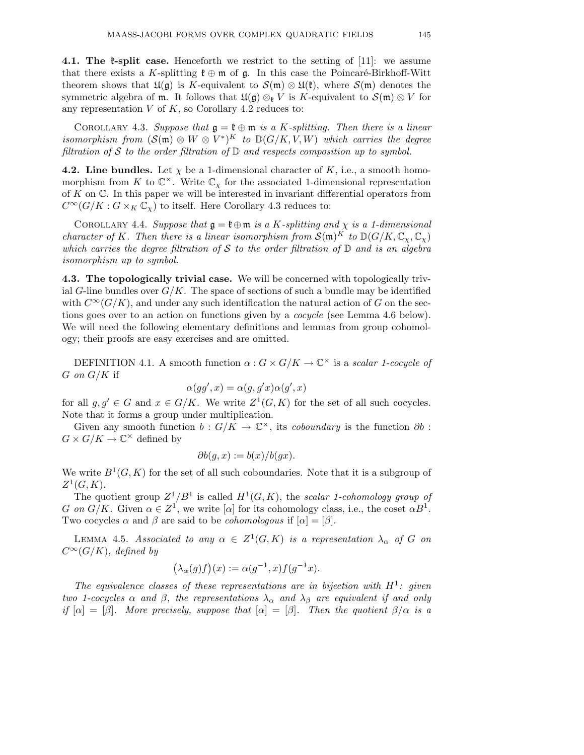**4.1. The**  $\mathfrak{k}$ **-split case.** Henceforth we restrict to the setting of [11]: we assume that there exists a K-splitting  $\mathfrak{k} \oplus \mathfrak{m}$  of  $\mathfrak{g}$ . In this case the Poincaré-Birkhoff-Witt theorem shows that  $\mathfrak{U}(\mathfrak{g})$  is K-equivalent to  $\mathcal{S}(\mathfrak{m}) \otimes \mathfrak{U}(\mathfrak{k})$ , where  $\mathcal{S}(\mathfrak{m})$  denotes the symmetric algebra of m. It follows that  $\mathfrak{U}(\mathfrak{g}) \otimes_{\mathfrak{k}} V$  is K-equivalent to  $\mathcal{S}(\mathfrak{m}) \otimes V$  for any representation  $V$  of  $K$ , so Corollary 4.2 reduces to:

COROLLARY 4.3. Suppose that  $\mathfrak{g} = \mathfrak{k} \oplus \mathfrak{m}$  is a K-splitting. Then there is a linear isomorphism from  $(S(\mathfrak{m}) \otimes W \otimes V^*)^K$  to  $D(G/K, V, W)$  which carries the degree filtration of S to the order filtration of  $D$  and respects composition up to symbol.

**4.2. Line bundles.** Let  $\chi$  be a 1-dimensional character of  $K$ , i.e., a smooth homomorphism from K to  $\mathbb{C}^{\times}$ . Write  $\mathbb{C}_{\chi}$  for the associated 1-dimensional representation of  $K$  on  $\mathbb{C}$ . In this paper we will be interested in invariant differential operators from  $C^{\infty}(G/K : G \times_K \mathbb{C}_{\chi})$  to itself. Here Corollary 4.3 reduces to:

COROLLARY 4.4. Suppose that  $\mathfrak{g} = \mathfrak{k} \oplus \mathfrak{m}$  is a K-splitting and  $\chi$  is a 1-dimensional character of K. Then there is a linear isomorphism from  $\mathcal{S}(\mathfrak{m})^K$  to  $\mathbb{D}(G/K,\mathbb{C}_\mathcal{Y},\mathbb{C}_\mathcal{Y})$ which carries the degree filtration of S to the order filtration of  $\mathbb D$  and is an algebra isomorphism up to symbol.

**4.3. The topologically trivial case.** We will be concerned with topologically trivial G-line bundles over  $G/K$ . The space of sections of such a bundle may be identified with  $C^{\infty}(G/K)$ , and under any such identification the natural action of G on the sections goes over to an action on functions given by a *cocycle* (see Lemma 4.6 below). We will need the following elementary definitions and lemmas from group cohomology; their proofs are easy exercises and are omitted.

DEFINITION 4.1. A smooth function  $\alpha$ :  $G \times G/K \to \mathbb{C}^\times$  is a scalar 1-cocycle of  $G$  on  $G/K$  if

$$
\alpha(gg',x) = \alpha(g,g'x)\alpha(g',x)
$$

for all  $g, g' \in G$  and  $x \in G/K$ . We write  $Z^1(G,K)$  for the set of all such cocycles. Note that it forms a group under multiplication.

Given any smooth function  $b: G/K \to \mathbb{C}^{\times}$ , its *coboundary* is the function  $\partial b$ :  $G \times G/K \to \mathbb{C}^\times$  defined by

$$
\partial b(g, x) := b(x)/b(gx).
$$

We write  $B^1(G, K)$  for the set of all such coboundaries. Note that it is a subgroup of  $Z^1(G, K)$ .

The quotient group  $Z^1/B^1$  is called  $H^1(G, K)$ , the scalar 1-cohomology group of G on  $G/K$ . Given  $\alpha \in \mathbb{Z}^1$ , we write  $[\alpha]$  for its cohomology class, i.e., the coset  $\alpha B^1$ . Two cocycles  $\alpha$  and  $\beta$  are said to be *cohomologous* if  $[\alpha]=[\beta]$ .

LEMMA 4.5. Associated to any  $\alpha \in Z^1(G,K)$  is a representation  $\lambda_{\alpha}$  of G on  $C^{\infty}(G/K)$ , defined by

$$
(\lambda_{\alpha}(g)f)(x) := \alpha(g^{-1}, x)f(g^{-1}x).
$$

The equivalence classes of these representations are in bijection with  $H^1$ : given two 1-cocycles  $\alpha$  and  $\beta$ , the representations  $\lambda_{\alpha}$  and  $\lambda_{\beta}$  are equivalent if and only if  $[\alpha]=[\beta]$ . More precisely, suppose that  $[\alpha]=[\beta]$ . Then the quotient  $\beta/\alpha$  is a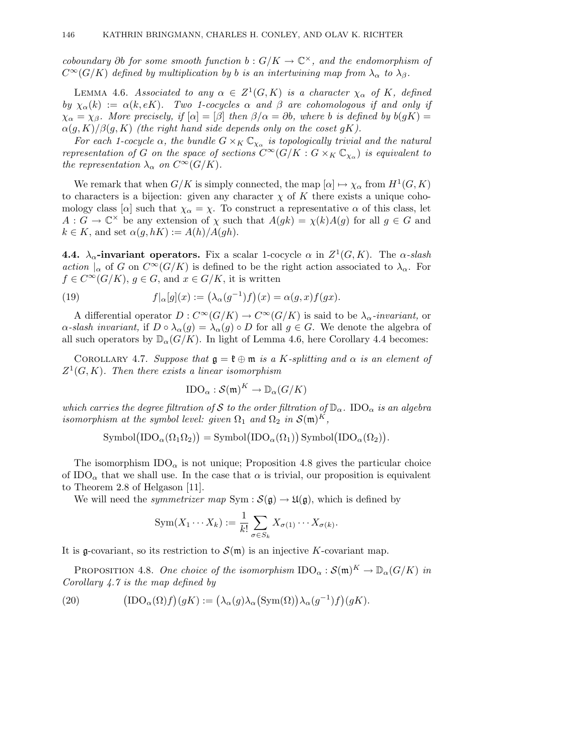coboundary ∂b for some smooth function  $b: G/K \to \mathbb{C}^{\times}$ , and the endomorphism of  $C^{\infty}(G/K)$  defined by multiplication by b is an intertwining map from  $\lambda_{\alpha}$  to  $\lambda_{\beta}$ .

LEMMA 4.6. Associated to any  $\alpha \in Z^1(G,K)$  is a character  $\chi_{\alpha}$  of K, defined by  $\chi_{\alpha}(k) := \alpha(k, eK)$ . Two 1-cocycles  $\alpha$  and  $\beta$  are cohomologous if and only if  $\chi_{\alpha} = \chi_{\beta}$ . More precisely, if  $[\alpha] = [\beta]$  then  $\beta/\alpha = \partial b$ , where b is defined by  $b(gK) =$  $\alpha(g,K)/\beta(g,K)$  (the right hand side depends only on the coset gK).

For each 1-cocycle  $\alpha$ , the bundle  $G \times_K \mathbb{C}_{\chi_{\alpha}}$  is topologically trivial and the natural representation of G on the space of sections  $C^{\infty}(G/K : G \times_K \mathbb{C}_{\chi_{\alpha}})$  is equivalent to the representation  $\lambda_{\alpha}$  on  $C^{\infty}(G/K)$ .

We remark that when  $G/K$  is simply connected, the map  $[\alpha] \mapsto \chi_{\alpha}$  from  $H^1(G, K)$ to characters is a bijection: given any character  $\chi$  of K there exists a unique cohomology class [ $\alpha$ ] such that  $\chi_{\alpha} = \chi$ . To construct a representative  $\alpha$  of this class, let  $A: G \to \mathbb{C}^\times$  be any extension of  $\chi$  such that  $A(gk) = \chi(k)A(g)$  for all  $g \in G$  and  $k \in K$ , and set  $\alpha(q, hK) := A(h)/A(qh)$ .

**4.4.**  $\lambda_{\alpha}$ -invariant operators. Fix a scalar 1-cocycle  $\alpha$  in  $Z^1(G, K)$ . The  $\alpha$ -slash action  $|_{\alpha}$  of G on  $C^{\infty}(G/K)$  is defined to be the right action associated to  $\lambda_{\alpha}$ . For  $f \in C^{\infty}(G/K)$ ,  $g \in G$ , and  $x \in G/K$ , it is written

(19) 
$$
f|_{\alpha}[g](x) := (\lambda_{\alpha}(g^{-1})f)(x) = \alpha(g,x)f(gx).
$$

A differential operator  $D: C^{\infty}(G/K) \to C^{\infty}(G/K)$  is said to be  $\lambda_{\alpha}$ -invariant, or  $\alpha$ -slash invariant, if  $D \circ \lambda_\alpha(g) = \lambda_\alpha(g) \circ D$  for all  $g \in G$ . We denote the algebra of all such operators by  $\mathbb{D}_{\alpha}(G/K)$ . In light of Lemma 4.6, here Corollary 4.4 becomes:

COROLLARY 4.7. Suppose that  $\mathfrak{g} = \mathfrak{k} \oplus \mathfrak{m}$  is a K-splitting and  $\alpha$  is an element of  $Z^1(G, K)$ . Then there exists a linear isomorphism

$$
\text{IDO}_{\alpha}: \mathcal{S}(\mathfrak{m})^K \to \mathbb{D}_{\alpha}(G/K)
$$

which carries the degree filtration of S to the order filtration of  $\mathbb{D}_{\alpha}$ . IDO<sub> $\alpha$ </sub> is an algebra isomorphism at the symbol level: given  $\Omega_1$  and  $\Omega_2$  in  $\mathcal{S}(\mathfrak{m})^K$ ,

$$
\mathrm{Symbol}(\mathrm{IDO}_{\alpha}(\Omega_1 \Omega_2)) = \mathrm{Symbol}(\mathrm{IDO}_{\alpha}(\Omega_1)) \mathrm{Symbol}(\mathrm{IDO}_{\alpha}(\Omega_2)).
$$

The isomorphism  $IDO_{\alpha}$  is not unique; Proposition 4.8 gives the particular choice of IDO<sub> $\alpha$ </sub> that we shall use. In the case that  $\alpha$  is trivial, our proposition is equivalent to Theorem 2.8 of Helgason [11].

We will need the *symmetrizer map*  $Sym : \mathcal{S}(\mathfrak{g}) \to \mathfrak{U}(\mathfrak{g})$ , which is defined by

$$
Sym(X_1 \cdots X_k) := \frac{1}{k!} \sum_{\sigma \in S_k} X_{\sigma(1)} \cdots X_{\sigma(k)}.
$$

It is g-covariant, so its restriction to  $\mathcal{S}(\mathfrak{m})$  is an injective K-covariant map.

PROPOSITION 4.8. One choice of the isomorphism  $\text{IDO}_\alpha : \mathcal{S}(\mathfrak{m})^K \to \mathbb{D}_\alpha(G/K)$  in Corollary 4.7 is the map defined by

(20) 
$$
\left(\text{IDO}_{\alpha}(\Omega)f\right)(gK) := \left(\lambda_{\alpha}(g)\lambda_{\alpha}(\text{Sym}(\Omega))\lambda_{\alpha}(g^{-1})f\right)(gK).
$$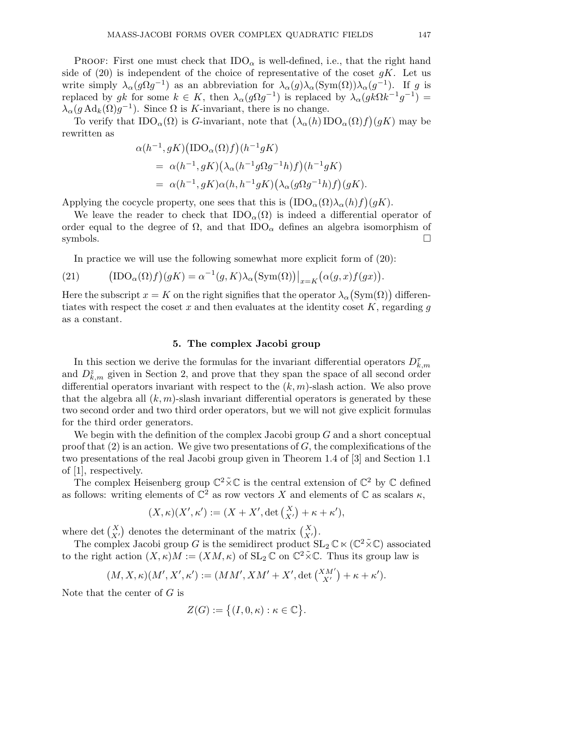**PROOF:** First one must check that  $IDO<sub>\alpha</sub>$  is well-defined, i.e., that the right hand side of  $(20)$  is independent of the choice of representative of the coset gK. Let us write simply  $\lambda_{\alpha}(g\Omega g^{-1})$  as an abbreviation for  $\lambda_{\alpha}(g)\lambda_{\alpha}(\text{Sym}(\Omega))\lambda_{\alpha}(g^{-1})$ . If g is replaced by gk for some  $k \in K$ , then  $\lambda_{\alpha}(g\Omega g^{-1})$  is replaced by  $\lambda_{\alpha}(gk\Omega k^{-1}g^{-1}) =$  $\lambda_{\alpha}(g \operatorname{Ad}_k(\Omega)g^{-1})$ . Since  $\Omega$  is K-invariant, there is no change.

To verify that  $\text{IDO}_{\alpha}(\Omega)$  is G-invariant, note that  $(\lambda_{\alpha}(h) \text{IDO}_{\alpha}(\Omega)f)(gK)$  may be rewritten as

$$
\alpha(h^{-1}, gK)(\text{IDO}_{\alpha}(\Omega)f)(h^{-1}gK)
$$
  
= 
$$
\alpha(h^{-1}, gK)(\lambda_{\alpha}(h^{-1}g\Omega g^{-1}h)f)(h^{-1}gK)
$$
  
= 
$$
\alpha(h^{-1}, gK)\alpha(h, h^{-1}gK)(\lambda_{\alpha}(g\Omega g^{-1}h)f)(gK).
$$

Applying the cocycle property, one sees that this is  $(IDO<sub>\alpha</sub>(\Omega)\lambda_{\alpha}(h)f)(gK)$ .

We leave the reader to check that  $\text{IDO}_\alpha(\Omega)$  is indeed a differential operator of order equal to the degree of  $\Omega$ , and that  $IDO_{\alpha}$  defines an algebra isomorphism of symbols.  $\Box$ 

In practice we will use the following somewhat more explicit form of (20):

(21) 
$$
\left(\text{IDO}_{\alpha}(\Omega)f\right)(gK) = \alpha^{-1}(g, K)\lambda_{\alpha}\big(\text{Sym}(\Omega)\big)\big|_{x=K}\big(\alpha(g, x)f(gx)\big).
$$

Here the subscript  $x = K$  on the right signifies that the operator  $\lambda_{\alpha}(\mathrm{Sym}(\Omega))$  differentiates with respect the coset x and then evaluates at the identity coset K, regarding q as a constant.

# **5. The complex Jacobi group**

In this section we derive the formulas for the invariant differential operators  $D_{k,m}^{\tau}$ and  $D_{k,m}^z$  given in Section 2, and prove that they span the space of all second order differential operators invariant with respect to the  $(k, m)$ -slash action. We also prove that the algebra all  $(k, m)$ -slash invariant differential operators is generated by these two second order and two third order operators, but we will not give explicit formulas for the third order generators.

We begin with the definition of the complex Jacobi group  $G$  and a short conceptual proof that  $(2)$  is an action. We give two presentations of G, the complexifications of the two presentations of the real Jacobi group given in Theorem 1.4 of [3] and Section 1.1 of [1], respectively.

The complex Heisenberg group  $\mathbb{C}^2 \times \mathbb{C}$  is the central extension of  $\mathbb{C}^2$  by  $\mathbb C$  defined as follows: writing elements of  $\mathbb{C}^2$  as row vectors X and elements of  $\mathbb C$  as scalars  $\kappa$ ,

$$
(X,\kappa)(X',\kappa') := (X + X', \det\begin{pmatrix} X \\ X' \end{pmatrix} + \kappa + \kappa'),
$$

where det  $\begin{pmatrix} X \\ X' \end{pmatrix}$  denotes the determinant of the matrix  $\begin{pmatrix} X \\ X' \end{pmatrix}$ .

The complex Jacobi group G is the semidirect product  $SL_2\mathbb{C} \ltimes (\mathbb{C}^2 \times \mathbb{C})$  associated to the right action  $(X,\kappa)M := (XM,\kappa)$  of  $SL_2\mathbb{C}$  on  $\mathbb{C}^2\tilde{\times}\mathbb{C}$ . Thus its group law is

$$
(M, X, \kappa)(M', X', \kappa') := (MM', X M' + X', \det\left(\frac{X M'}{X'}\right) + \kappa + \kappa').
$$

Note that the center of  $G$  is

$$
Z(G) := \big\{ (I, 0, \kappa) : \kappa \in \mathbb{C} \big\}.
$$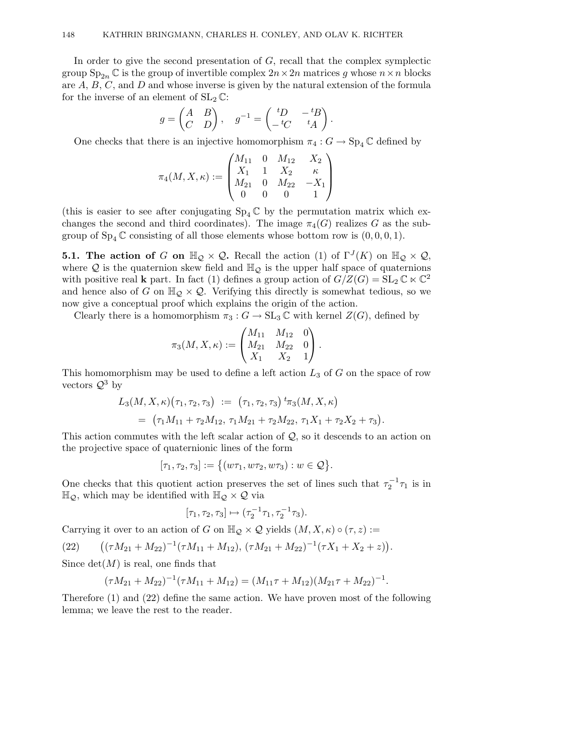In order to give the second presentation of  $G$ , recall that the complex symplectic group  $\text{Sp}_{2n} \mathbb{C}$  is the group of invertible complex  $2n \times 2n$  matrices g whose  $n \times n$  blocks are  $A, B, C$ , and  $D$  and whose inverse is given by the natural extension of the formula for the inverse of an element of  $SL_2 \mathbb{C}$ :

$$
g = \begin{pmatrix} A & B \\ C & D \end{pmatrix}, \quad g^{-1} = \begin{pmatrix} {}^t\!D & -{}^t\!B \\ -{}^t\!C & {}^t\!A \end{pmatrix}.
$$

One checks that there is an injective homomorphism  $\pi_4: G \to \mathrm{Sp}_4\mathbb{C}$  defined by

$$
\pi_4(M,X,\kappa):=\begin{pmatrix} M_{11} & 0 & M_{12} & X_2 \\ X_1 & 1 & X_2 & \kappa \\ M_{21} & 0 & M_{22} & -X_1 \\ 0 & 0 & 0 & 1 \end{pmatrix}
$$

(this is easier to see after conjugating  $Sp_4\mathbb{C}$  by the permutation matrix which exchanges the second and third coordinates). The image  $\pi_4(G)$  realizes G as the subgroup of  $Sp_4 \mathbb{C}$  consisting of all those elements whose bottom row is  $(0, 0, 0, 1)$ .

**5.1. The action of G on**  $\mathbb{H}_{\mathcal{Q}} \times \mathcal{Q}$ **. Recall the action (1) of**  $\Gamma^{J}(K)$  **on**  $\mathbb{H}_{\mathcal{Q}} \times \mathcal{Q}$ **,** where Q is the quaternion skew field and  $\mathbb{H}_{\mathcal{Q}}$  is the upper half space of quaternions with positive real **k** part. In fact (1) defines a group action of  $G/Z(G) = SL_2 \mathbb{C} \ltimes \mathbb{C}^2$ and hence also of G on  $\mathbb{H}_{\mathcal{Q}} \times \mathcal{Q}$ . Verifying this directly is somewhat tedious, so we now give a conceptual proof which explains the origin of the action.

Clearly there is a homomorphism  $\pi_3 : G \to SL_3 \mathbb{C}$  with kernel  $Z(G)$ , defined by

$$
\pi_3(M,X,\kappa):=\begin{pmatrix} M_{11} & M_{12} & 0 \\ M_{21} & M_{22} & 0 \\ X_1 & X_2 & 1 \end{pmatrix}.
$$

This homomorphism may be used to define a left action  $L_3$  of  $G$  on the space of row vectors  $\mathcal{Q}^3$  by

$$
L_3(M, X, \kappa)(\tau_1, \tau_2, \tau_3) := (\tau_1, \tau_2, \tau_3) \, {}^t\pi_3(M, X, \kappa)
$$
  
= (\tau\_1 M\_{11} + \tau\_2 M\_{12}, \, \tau\_1 M\_{21} + \tau\_2 M\_{22}, \, \tau\_1 X\_1 + \tau\_2 X\_2 + \tau\_3).

This action commutes with the left scalar action of Q, so it descends to an action on the projective space of quaternionic lines of the form

$$
[\tau_1,\tau_2,\tau_3]:=\big\{(w\tau_1,w\tau_2,w\tau_3):w\in\mathcal{Q}\big\}.
$$

One checks that this quotient action preserves the set of lines such that  $\tau_2^{-1}\tau_1$  is in  $\mathbb{H}_{\mathcal{Q}}$ , which may be identified with  $\mathbb{H}_{\mathcal{Q}} \times \mathcal{Q}$  via

$$
[\tau_1, \tau_2, \tau_3] \mapsto (\tau_2^{-1} \tau_1, \tau_2^{-1} \tau_3).
$$

Carrying it over to an action of G on  $\mathbb{H}_{\mathcal{Q}} \times \mathcal{Q}$  yields  $(M, X, \kappa) \circ (\tau, z) :=$ 

(22) 
$$
((\tau M_{21} + M_{22})^{-1}(\tau M_{11} + M_{12}), (\tau M_{21} + M_{22})^{-1}(\tau X_1 + X_2 + z)).
$$

Since  $det(M)$  is real, one finds that

$$
(\tau M_{21} + M_{22})^{-1} (\tau M_{11} + M_{12}) = (M_{11}\tau + M_{12})(M_{21}\tau + M_{22})^{-1}.
$$

Therefore (1) and (22) define the same action. We have proven most of the following lemma; we leave the rest to the reader.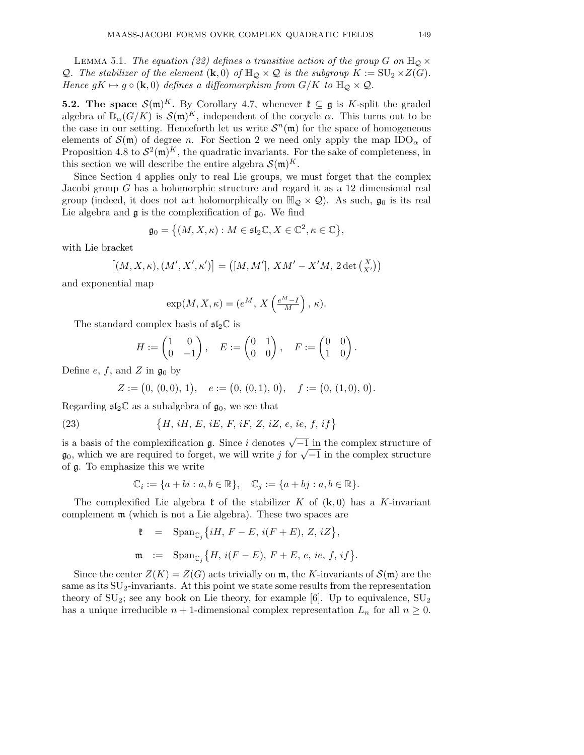LEMMA 5.1. The equation (22) defines a transitive action of the group G on  $\mathbb{H}_{\mathcal{Q}} \times$ Q. The stabilizer of the element  $(\mathbf{k},0)$  of  $\mathbb{H}_{\mathcal{Q}} \times \mathcal{Q}$  is the subgroup  $K := \mathrm{SU}_2 \times Z(G)$ . Hence  $gK \mapsto g \circ (\mathbf{k}, 0)$  defines a diffeomorphism from  $G/K$  to  $\mathbb{H}_{\mathcal{Q}} \times \mathcal{Q}$ .

**5.2. The space**  $\mathcal{S}(\mathfrak{m})^K$ . By Corollary 4.7, whenever  $\mathfrak{k} \subseteq \mathfrak{g}$  is K-split the graded algebra of  $\mathbb{D}_{\alpha}(G/K)$  is  $\mathcal{S}(\mathfrak{m})^K$ , independent of the cocycle  $\alpha$ . This turns out to be the case in our setting. Henceforth let us write  $S<sup>n</sup>(m)$  for the space of homogeneous elements of  $\mathcal{S}(\mathfrak{m})$  of degree n. For Section 2 we need only apply the map  $\text{IDO}_{\alpha}$  of Proposition 4.8 to  $\mathcal{S}^2(\mathfrak{m})^K$ , the quadratic invariants. For the sake of completeness, in this section we will describe the entire algebra  $\mathcal{S}(\mathfrak{m})^K$ .

Since Section 4 applies only to real Lie groups, we must forget that the complex Jacobi group G has a holomorphic structure and regard it as a 12 dimensional real group (indeed, it does not act holomorphically on  $\mathbb{H}_{\mathcal{Q}} \times \mathcal{Q}$ ). As such,  $\mathfrak{g}_0$  is its real Lie algebra and  $\mathfrak g$  is the complexification of  $\mathfrak g_0.$  We find

$$
\mathfrak{g}_0 = \big\{ (M, X, \kappa) : M \in \mathfrak{sl}_2\mathbb{C}, X \in \mathbb{C}^2, \kappa \in \mathbb{C} \big\},\
$$

with Lie bracket

$$
\left[(M,X,\kappa),(M',X',\kappa')\right]=\left([M,M'],\,XM'-X'M,\,2\det\left(\begin{smallmatrix}X\\X'\end{smallmatrix}\right)\right)
$$

and exponential map

$$
\exp(M,X,\kappa) = (e^M,\,X\left(\tfrac{e^M-I}{M}\right),\,\kappa).
$$

The standard complex basis of  $\mathfrak{sl}_2\mathbb{C}$  is

$$
H := \begin{pmatrix} 1 & 0 \\ 0 & -1 \end{pmatrix}, \quad E := \begin{pmatrix} 0 & 1 \\ 0 & 0 \end{pmatrix}, \quad F := \begin{pmatrix} 0 & 0 \\ 1 & 0 \end{pmatrix}.
$$

Define e, f, and Z in  $\mathfrak{g}_0$  by

$$
Z := (0, (0, 0), 1), \quad e := (0, (0, 1), 0), \quad f := (0, (1, 0), 0).
$$

Regarding  $\mathfrak{sl}_2\mathbb{C}$  as a subalgebra of  $\mathfrak{g}_0$ , we see that

(23) 
$$
\{H, iH, E, iE, F, iF, Z, iZ, e, ie, f, if\}
$$

is a basis of the complexification  $\mathfrak{g}$ . Since i denotes  $\sqrt{-1}$  in the complex structure of  $\mathfrak{g}_0$ , which we are required to forget, we will write j for  $\sqrt{-1}$  in the complex structure of g. To emphasize this we write

$$
\mathbb{C}_i := \{a + bi : a, b \in \mathbb{R}\}, \quad \mathbb{C}_j := \{a + bj : a, b \in \mathbb{R}\}.
$$

The complexified Lie algebra  $\mathfrak{k}$  of the stabilizer K of  $(\mathbf{k}, 0)$  has a K-invariant complement m (which is not a Lie algebra). These two spaces are

$$
\begin{array}{rcl} \mathfrak{k} & = & \mathrm{Span}_{\mathbb{C}_j} \big\{ i H,\, F-E,\, i(F+E),\, Z,\, iZ \big\}, \\[2mm] \mathfrak{m} & := & \mathrm{Span}_{\mathbb{C}_j} \big\{ H,\, i(F-E),\, F+E,\, e,\, ie,\, f,\, if \big\}. \end{array}
$$

Since the center  $Z(K) = Z(G)$  acts trivially on m, the K-invariants of  $\mathcal{S}(\mathfrak{m})$  are the same as its  $SU_2$ -invariants. At this point we state some results from the representation theory of  $SU_2$ ; see any book on Lie theory, for example [6]. Up to equivalence,  $SU_2$ has a unique irreducible  $n + 1$ -dimensional complex representation  $L_n$  for all  $n \geq 0$ .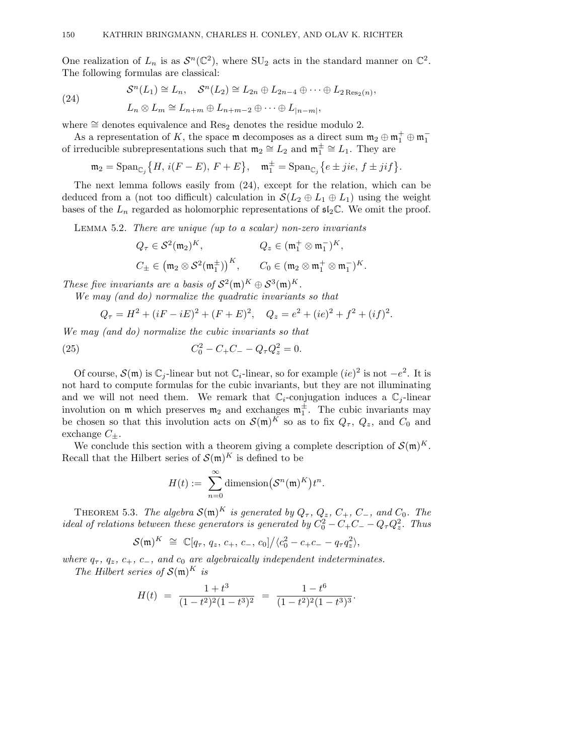One realization of  $L_n$  is as  $\mathcal{S}^n(\mathbb{C}^2)$ , where  $\text{SU}_2$  acts in the standard manner on  $\mathbb{C}^2$ . The following formulas are classical:

 $\mathcal{S}^n(L_1) \cong L_n, \quad \mathcal{S}^n(L_2) \cong L_{2n} \oplus L_{2n-4} \oplus \cdots \oplus L_{2\text{Res}_2(n)},$ 

$$
(24)
$$

$$
L_n \otimes L_m \cong L_{n+m} \oplus L_{n+m-2} \oplus \cdots \oplus L_{|n-m|},
$$

where  $\cong$  denotes equivalence and Res<sub>2</sub> denotes the residue modulo 2.

As a representation of K, the space m decomposes as a direct sum  $\mathfrak{m}_2 \oplus \mathfrak{m}_1^+ \oplus \mathfrak{m}_1^$ of irreducible subrepresentations such that  $\mathfrak{m}_2 \cong L_2$  and  $\mathfrak{m}_1^{\pm} \cong L_1$ . They are

$$
\mathfrak{m}_2 = \mathrm{Span}_{\mathbb{C}_j} \big\{ H, \, i(F - E), \, F + E \big\}, \quad \mathfrak{m}_1^{\pm} = \mathrm{Span}_{\mathbb{C}_j} \big\{ e \pm jie, \, f \pm jif \big\}.
$$

The next lemma follows easily from (24), except for the relation, which can be deduced from a (not too difficult) calculation in  $\mathcal{S}(L_2 \oplus L_1 \oplus L_1)$  using the weight bases of the  $L_n$  regarded as holomorphic representations of  $\mathfrak{sl}_2\mathbb{C}$ . We omit the proof.

Lemma 5.2. There are unique (up to a scalar) non-zero invariants

$$
Q_{\tau} \in \mathcal{S}^{2}(\mathfrak{m}_{2})^{K}, \qquad Q_{z} \in (\mathfrak{m}_{1}^{+} \otimes \mathfrak{m}_{1}^{-})^{K},
$$
  

$$
C_{\pm} \in (\mathfrak{m}_{2} \otimes \mathcal{S}^{2}(\mathfrak{m}_{1}^{\pm}))^{K}, \qquad C_{0} \in (\mathfrak{m}_{2} \otimes \mathfrak{m}_{1}^{+} \otimes \mathfrak{m}_{1}^{-})^{K}.
$$

These five invariants are a basis of  $S^2(\mathfrak{m})^K \oplus S^3(\mathfrak{m})^K$ .

We may (and do) normalize the quadratic invariants so that

$$
Q_{\tau} = H^2 + (iF - iE)^2 + (F + E)^2, \quad Q_z = e^2 + (ie)^2 + f^2 + (if)^2.
$$

We may (and do) normalize the cubic invariants so that

(25) 
$$
C_0^2 - C_+C_- - Q_\tau Q_z^2 = 0.
$$

Of course,  $\mathcal{S}(\mathfrak{m})$  is  $\mathbb{C}_i$ -linear but not  $\mathbb{C}_i$ -linear, so for example  $(ie)^2$  is not  $-e^2$ . It is not hard to compute formulas for the cubic invariants, but they are not illuminating and we will not need them. We remark that  $\mathbb{C}_i$ -conjugation induces a  $\mathbb{C}_i$ -linear involution on  $\mathfrak{m}$  which preserves  $\mathfrak{m}_2$  and exchanges  $\mathfrak{m}_1^{\pm}$ . The cubic invariants may be chosen so that this involution acts on  $\mathcal{S}(\mathfrak{m})^K$  so as to fix  $Q_{\tau}$ ,  $Q_z$ , and  $C_0$  and exchange  $C_{\pm}$ .

We conclude this section with a theorem giving a complete description of  $\mathcal{S}(m)^K$ . Recall that the Hilbert series of  $\mathcal{S}(m)^K$  is defined to be

$$
H(t) := \sum_{n=0}^{\infty} \text{dimension}(\mathcal{S}^n(\mathfrak{m})^K) t^n.
$$

THEOREM 5.3. The algebra  $\mathcal{S}(\mathfrak{m})^K$  is generated by  $Q_\tau, Q_z, C_+, C_-,$  and  $C_0$ . The ideal of relations between these generators is generated by  $C_0^2 - C_+C_- - Q_\tau Q_z^2$ . Thus

$$
\mathcal{S}(\mathfrak{m})^K \cong \mathbb{C}[q_{\tau}, q_z, c_+, c_-, c_0] / \langle c_0^2 - c_+ c_- - q_{\tau} q_z^2 \rangle,
$$

where  $q_{\tau}$ ,  $q_z$ ,  $c_+$ ,  $c_-$ , and  $c_0$  are algebraically independent indeterminates. The Hilbert series of  $\mathcal{S}(\mathfrak{m})^K$  is

$$
H(t) = \frac{1+t^3}{(1-t^2)^2(1-t^3)^2} = \frac{1-t^6}{(1-t^2)^2(1-t^3)^3}.
$$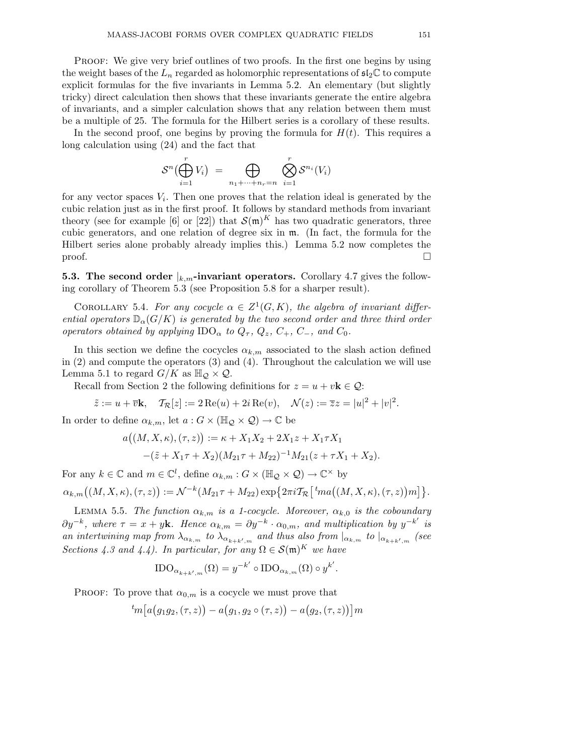Proof: We give very brief outlines of two proofs. In the first one begins by using the weight bases of the  $L_n$  regarded as holomorphic representations of  $\mathfrak{sl}_2\mathbb{C}$  to compute explicit formulas for the five invariants in Lemma 5.2. An elementary (but slightly tricky) direct calculation then shows that these invariants generate the entire algebra of invariants, and a simpler calculation shows that any relation between them must be a multiple of 25. The formula for the Hilbert series is a corollary of these results.

In the second proof, one begins by proving the formula for  $H(t)$ . This requires a long calculation using (24) and the fact that

$$
\mathcal{S}^n\big(\bigoplus_{i=1}^r V_i\big) = \bigoplus_{n_1+\cdots+n_r=n} \bigotimes_{i=1}^r \mathcal{S}^{n_i}(V_i)
$$

for any vector spaces  $V_i$ . Then one proves that the relation ideal is generated by the cubic relation just as in the first proof. It follows by standard methods from invariant theory (see for example [6] or [22]) that  $\mathcal{S}(\mathfrak{m})^K$  has two quadratic generators, three cubic generators, and one relation of degree six in m. (In fact, the formula for the Hilbert series alone probably already implies this.) Lemma 5.2 now completes the  $\Box$ 

**5.3. The second order**  $\vert_{k,m}$ -invariant operators. Corollary 4.7 gives the following corollary of Theorem 5.3 (see Proposition 5.8 for a sharper result).

COROLLARY 5.4. For any cocycle  $\alpha \in Z^1(G,K)$ , the algebra of invariant differential operators  $\mathbb{D}_{\alpha}(G/K)$  is generated by the two second order and three third order operators obtained by applying  $\text{IDO}_{\alpha}$  to  $Q_{\tau}$ ,  $Q_z$ ,  $C_{+}$ ,  $C_{-}$ , and  $C_0$ .

In this section we define the cocycles  $\alpha_{k,m}$  associated to the slash action defined in (2) and compute the operators (3) and (4). Throughout the calculation we will use Lemma 5.1 to regard  $G/K$  as  $\mathbb{H}_{\mathcal{Q}} \times \mathcal{Q}$ .

Recall from Section 2 the following definitions for  $z = u + v\mathbf{k} \in \mathcal{Q}$ :

$$
\tilde{z} := u + \overline{v} \mathbf{k}, \quad \mathcal{T}_{\mathcal{R}}[z] := 2 \operatorname{Re}(u) + 2i \operatorname{Re}(v), \quad \mathcal{N}(z) := \overline{z} z = |u|^2 + |v|^2.
$$

In order to define  $\alpha_{k,m}$ , let  $a: G \times (\mathbb{H}_{\mathcal{O}} \times \mathcal{Q}) \to \mathbb{C}$  be

$$
a((M, X, \kappa), (\tau, z)) := \kappa + X_1 X_2 + 2X_1 z + X_1 \tau X_1
$$
  
-( $\tilde{z} + X_1 \tau + X_2$ )( $M_{21} \tau + M_{22}$ )<sup>-1</sup> $M_{21}(z + \tau X_1 + X_2)$ .

For any  $k \in \mathbb{C}$  and  $m \in \mathbb{C}^l$ , define  $\alpha_{k,m}: G \times (\mathbb{H}_{\mathcal{Q}} \times \mathcal{Q}) \to \mathbb{C}^{\times}$  by

$$
\alpha_{k,m}((M,X,\kappa),(\tau,z)):=\mathcal{N}^{-k}(M_{21}\tau+M_{22})\exp\big\{2\pi i\mathcal{T}_{\mathcal{R}}\big[\,{}^t\!ma\big((M,X,\kappa),(\tau,z\big)\big)m\big]\big\}.
$$

LEMMA 5.5. The function  $\alpha_{k,m}$  is a 1-cocycle. Moreover,  $\alpha_{k,0}$  is the coboundary  $\partial y^{-k}$ , where  $\tau = x + y$ **k**. Hence  $\alpha_{k,m} = \partial y^{-k} \cdot \alpha_{0,m}$ , and multiplication by  $y^{-k'}$  is an intertwining map from  $\lambda_{\alpha_{k,m}}$  to  $\lambda_{\alpha_{k+k',m}}$  and thus also from  $|_{\alpha_{k,m}}$  to  $|_{\alpha_{k+k',m}}$  (see Sections 4.3 and 4.4). In particular, for any  $\Omega \in \mathcal{S}(\mathfrak{m})^K$  we have

$$
\text{IDO}_{\alpha_{k+k',m}}(\Omega) = y^{-k'} \circ \text{IDO}_{\alpha_{k,m}}(\Omega) \circ y^{k'}.
$$

PROOF: To prove that  $\alpha_{0,m}$  is a cocycle we must prove that

$$
{}^{t}m[a(g_1g_2,(\tau,z))-a(g_1,g_2\circ(\tau,z))-a(g_2,(\tau,z))]m
$$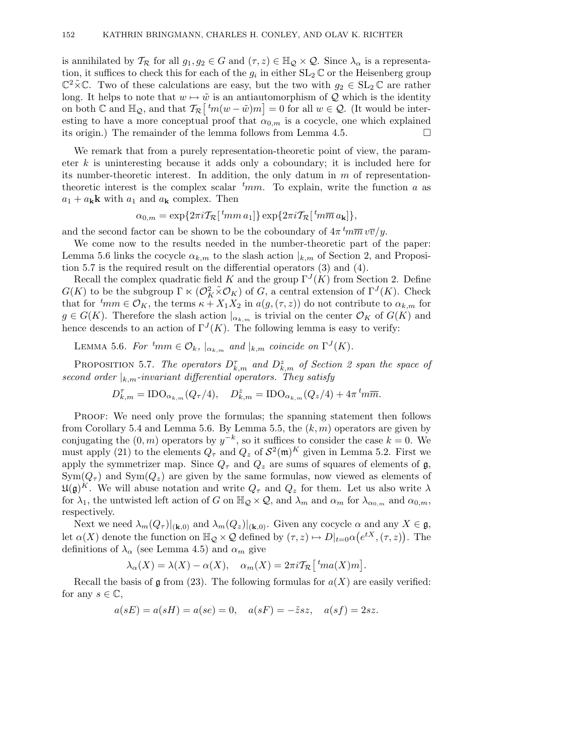is annihilated by  $\mathcal{T}_{\mathcal{R}}$  for all  $g_1, g_2 \in G$  and  $(\tau, z) \in \mathbb{H}_{\mathcal{Q}} \times \mathcal{Q}$ . Since  $\lambda_{\alpha}$  is a representation, it suffices to check this for each of the  $g_i$  in either  $SL_2 \mathbb{C}$  or the Heisenberg group  $\mathbb{C}^2\tilde{\times}\mathbb{C}$ . Two of these calculations are easy, but the two with  $g_2 \in SL_2\mathbb{C}$  are rather long. It helps to note that  $w \mapsto \tilde{w}$  is an antiautomorphism of Q which is the identity on both  $\mathbb C$  and  $\mathbb H_{\mathcal Q}$ , and that  $\mathcal{T}_{\mathcal R}\left[\,{}^t m(w-\tilde w)m\right]=0$  for all  $w\in\mathcal Q$ . (It would be interesting to have a more conceptual proof that  $\alpha_{0,m}$  is a cocycle, one which explained its origin.) The remainder of the lemma follows from Lemma 4.5.

We remark that from a purely representation-theoretic point of view, the parameter k is uninteresting because it adds only a coboundary; it is included here for its number-theoretic interest. In addition, the only datum in  $m$  of representationtheoretic interest is the complex scalar  $t_{mm}$ . To explain, write the function a as  $a_1 + a_k \mathbf{k}$  with  $a_1$  and  $a_k$  complex. Then

$$
\alpha_{0,m} = \exp\{2\pi i \mathcal{T}_{\mathcal{R}}\left[ \, {}^{t}\!m m \, a_1 \right] \} \exp\{2\pi i \mathcal{T}_{\mathcal{R}}\left[ \, {}^{t}\!m \overline{m} \, a_{\mathbf{k}} \right] \},
$$

and the second factor can be shown to be the coboundary of  $4\pi \frac{t_m}{m} v \overline{v}/y$ .

We come now to the results needed in the number-theoretic part of the paper: Lemma 5.6 links the cocycle  $\alpha_{k,m}$  to the slash action  $|_{k,m}$  of Section 2, and Proposition 5.7 is the required result on the differential operators (3) and (4).

Recall the complex quadratic field K and the group  $\Gamma^{J}(K)$  from Section 2. Define  $G(K)$  to be the subgroup  $\Gamma \ltimes (O_K^2 \tilde{\times} O_K)$  of G, a central extension of  $\Gamma^J(K)$ . Check that for  $t_{mm} \in \mathcal{O}_K$ , the terms  $\kappa + X_1 X_2$  in  $a(g, (\tau, z))$  do not contribute to  $\alpha_{k,m}$  for  $g \in G(K)$ . Therefore the slash action  $|_{\alpha_{k,m}}$  is trivial on the center  $\mathcal{O}_K$  of  $G(K)$  and hence descends to an action of  $\Gamma^{J}(K)$ . The following lemma is easy to verify:

LEMMA 5.6. For  ${}^t\!mm \in \mathcal{O}_k$ ,  $|_{\alpha_{k,m}}$  and  $|_{k,m}$  coincide on  $\Gamma^J(K)$ .

PROPOSITION 5.7. The operators  $D_{k,m}^{\tau}$  and  $D_{k,m}^{\tau}$  of Section 2 span the space of second order  $\vert_{k,m}$ -invariant differential operators. They satisfy

$$
D_{k,m}^{\tau} = \text{IDO}_{\alpha_{k,m}}(Q_{\tau}/4), \quad D_{k,m}^{z} = \text{IDO}_{\alpha_{k,m}}(Q_{z}/4) + 4\pi \, {}^{t}m\overline{m}.
$$

Proof: We need only prove the formulas; the spanning statement then follows from Corollary 5.4 and Lemma 5.6. By Lemma 5.5, the  $(k,m)$  operators are given by conjugating the  $(0, m)$  operators by  $y^{-k}$ , so it suffices to consider the case  $k = 0$ . We must apply (21) to the elements  $Q_{\tau}$  and  $Q_z$  of  $\mathcal{S}^2(\mathfrak{m})^K$  given in Lemma 5.2. First we apply the symmetrizer map. Since  $Q_{\tau}$  and  $Q_z$  are sums of squares of elements of  $\mathfrak{g}$ ,  $Sym(Q_{\tau})$  and  $Sym(Q_{z})$  are given by the same formulas, now viewed as elements of  $\mathfrak{U}(\mathfrak{g})^K$ . We will abuse notation and write  $Q_\tau$  and  $Q_z$  for them. Let us also write  $\lambda$ for  $\lambda_1$ , the untwisted left action of G on  $\mathbb{H}_{\mathcal{Q}} \times \mathcal{Q}$ , and  $\lambda_m$  and  $\alpha_m$  for  $\lambda_{\alpha_{0,m}}$  and  $\alpha_{0,m}$ , respectively.

Next we need  $\lambda_m(Q_\tau)|_{(\mathbf{k},0)}$  and  $\lambda_m(Q_z)|_{(\mathbf{k},0)}$ . Given any cocycle  $\alpha$  and any  $X \in \mathfrak{g}$ , let  $\alpha(X)$  denote the function on  $\mathbb{H}_{\mathcal{Q}} \times \mathcal{Q}$  defined by  $(\tau, z) \mapsto D|_{t=0} \alpha(e^{tX}, (\tau, z))$ . The definitions of  $\lambda_{\alpha}$  (see Lemma 4.5) and  $\alpha_m$  give

$$
\lambda_{\alpha}(X) = \lambda(X) - \alpha(X), \quad \alpha_m(X) = 2\pi i \mathcal{T}_{\mathcal{R}} \left[ {}^{t}ma(X)m \right].
$$

Recall the basis of  $\mathfrak g$  from (23). The following formulas for  $a(X)$  are easily verified: for any  $s \in \mathbb{C}$ ,

$$
a(sE) = a(sH) = a(se) = 0
$$
,  $a(sF) = -\tilde{z}sz$ ,  $a(sf) = 2sz$ .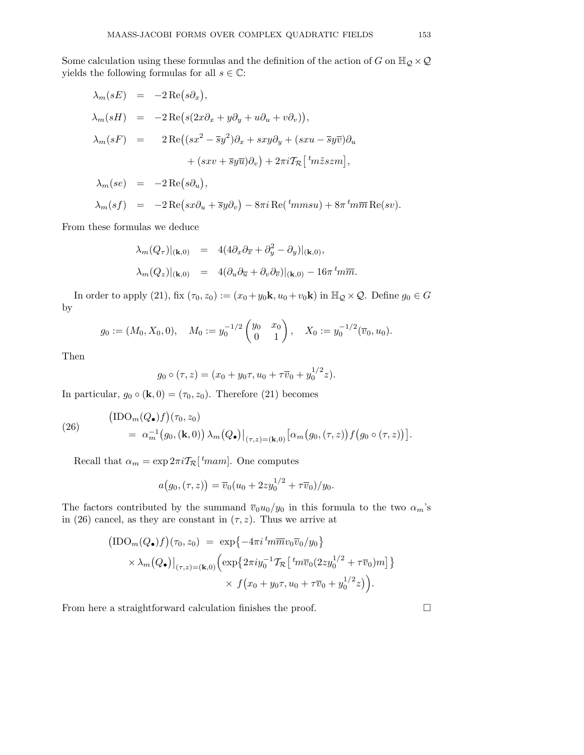Some calculation using these formulas and the definition of the action of G on  $\mathbb{H}_{\mathcal{Q}}\times\mathcal{Q}$ yields the following formulas for all  $s \in \mathbb{C}$ :

$$
\lambda_m(sE) = -2 \operatorname{Re}(s\partial_x),
$$
  
\n
$$
\lambda_m(sH) = -2 \operatorname{Re}(s(2x\partial_x + y\partial_y + u\partial_u + v\partial_v)),
$$
  
\n
$$
\lambda_m(sF) = 2 \operatorname{Re}((sx^2 - \overline{s}y^2)\partial_x + sxy\partial_y + (sxu - \overline{s}y\overline{v})\partial_u + (sxv + \overline{s}y\overline{u})\partial_v) + 2\pi i \mathcal{T}_{\mathcal{R}} \left[{}^t m \tilde{z}szm\right],
$$

$$
\lambda_m(se) = -2 \operatorname{Re} (s \partial_u),
$$

$$
\lambda_m(sf) = -2 \operatorname{Re} \left(sx \partial_u + \overline{s}y \partial_v \right) - 8\pi i \operatorname{Re} \left( \,^t \! mmsu \right) + 8\pi \,^t \! m \overline{m} \operatorname{Re}(sv).
$$

From these formulas we deduce

$$
\lambda_m(Q_\tau)|_{(\mathbf{k},0)} = 4(4\partial_x\partial_{\overline{x}} + \partial_y^2 - \partial_y)|_{(\mathbf{k},0)},
$$
  

$$
\lambda_m(Q_z)|_{(\mathbf{k},0)} = 4(\partial_u\partial_{\overline{u}} + \partial_v\partial_{\overline{v}})|_{(\mathbf{k},0)} - 16\pi^t m \overline{m}.
$$

In order to apply (21), fix  $(\tau_0, z_0) := (x_0 + y_0 \mathbf{k}, u_0 + v_0 \mathbf{k})$  in  $\mathbb{H}_{\mathcal{Q}} \times \mathcal{Q}$ . Define  $g_0 \in G$ by

$$
g_0 := (M_0, X_0, 0), \quad M_0 := y_0^{-1/2} \begin{pmatrix} y_0 & x_0 \ 0 & 1 \end{pmatrix}, \quad X_0 := y_0^{-1/2} (\overline{v}_0, u_0).
$$

Then

$$
g_0 \circ (\tau, z) = (x_0 + y_0 \tau, u_0 + \tau \overline{v}_0 + y_0^{1/2} z).
$$

In particular,  $g_0 \circ (\mathbf{k}, 0) = (\tau_0, z_0)$ . Therefore (21) becomes

(26)  
\n
$$
\left(\text{IDO}_m(Q_\bullet)f\right)(\tau_0, z_0)
$$
\n
$$
= \left. \alpha_m^{-1}\big(g_0, (\mathbf{k}, 0)\big) \right. \lambda_m(Q_\bullet)\big|_{(\tau, z) = (\mathbf{k}, 0)} \left[ \alpha_m\big(g_0, (\tau, z)\big) f\big(g_0 \circ (\tau, z)\big) \right].
$$

Recall that  $\alpha_m = \exp 2\pi i \mathcal{T}_{\mathcal{R}}[^t m \text{am}]$ . One computes

$$
a(g_0, (\tau, z)) = \overline{v}_0(u_0 + 2zy_0^{1/2} + \tau \overline{v}_0)/y_0.
$$

The factors contributed by the summand  $\overline{v}_0u_0/y_0$  in this formula to the two  $\alpha_m$ 's in (26) cancel, as they are constant in  $(\tau, z)$ . Thus we arrive at

$$
\begin{aligned}\n\left(\text{IDO}_{m}(Q_{\bullet})f\right)(\tau_{0},z_{0}) &= \exp\left\{-4\pi i \, {}^{t}\!m \overline{m}v_{0}\overline{v}_{0}/y_{0}\right\} \\
&\times \lambda_{m}(Q_{\bullet})\big|_{(\tau,z)=(\mathbf{k},0)} \left(\exp\left\{2\pi i y_{0}^{-1}\mathcal{T}_{\mathcal{R}}\left[ \, {}^{t}\!m \overline{v}_{0}(2zy_{0}^{1/2} + \tau \overline{v}_{0})m\right]\right\} \\
&\times f(x_{0} + y_{0}\tau, u_{0} + \tau \overline{v}_{0} + y_{0}^{1/2}z)\right).\n\end{aligned}
$$

From here a straightforward calculation finishes the proof.  $\hfill \Box$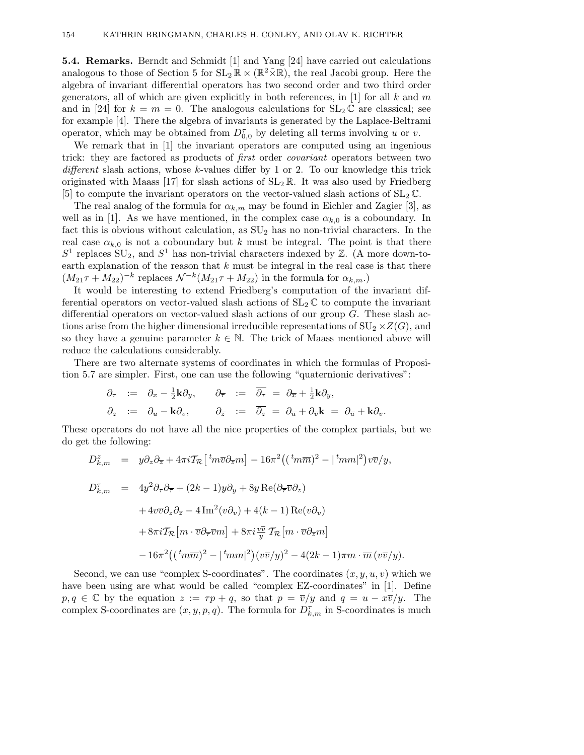**5.4. Remarks.** Berndt and Schmidt [1] and Yang [24] have carried out calculations analogous to those of Section 5 for  $SL_2 \mathbb{R} \ltimes (\mathbb{R}^2 \tilde{\times} \mathbb{R})$ , the real Jacobi group. Here the algebra of invariant differential operators has two second order and two third order generators, all of which are given explicitly in both references, in [1] for all k and m and in [24] for  $k = m = 0$ . The analogous calculations for  $SL_2 \mathbb{C}$  are classical; see for example [4]. There the algebra of invariants is generated by the Laplace-Beltrami operator, which may be obtained from  $D_{0,0}^{\tau}$  by deleting all terms involving u or v.

We remark that in [1] the invariant operators are computed using an ingenious trick: they are factored as products of first order covariant operators between two  $differential$  slash actions, whose k-values differ by 1 or 2. To our knowledge this trick originated with Maass [17] for slash actions of  $SL_2 \mathbb{R}$ . It was also used by Friedberg [5] to compute the invariant operators on the vector-valued slash actions of  $SL_2 \mathbb{C}$ .

The real analog of the formula for  $\alpha_{k,m}$  may be found in Eichler and Zagier [3], as well as in [1]. As we have mentioned, in the complex case  $\alpha_{k,0}$  is a coboundary. In fact this is obvious without calculation, as  $SU_2$  has no non-trivial characters. In the real case  $\alpha_{k,0}$  is not a coboundary but k must be integral. The point is that there  $S<sup>1</sup>$  replaces  $SU_2$ , and  $S<sup>1</sup>$  has non-trivial characters indexed by  $\mathbb{Z}$ . (A more down-toearth explanation of the reason that  $k$  must be integral in the real case is that there  $(M_{21}\tau + M_{22})^{-k}$  replaces  $\mathcal{N}^{-k}(M_{21}\tau + M_{22})$  in the formula for  $\alpha_{k,m}$ .)

It would be interesting to extend Friedberg's computation of the invariant differential operators on vector-valued slash actions of  $SL_2 \mathbb{C}$  to compute the invariant differential operators on vector-valued slash actions of our group G. These slash actions arise from the higher dimensional irreducible representations of  $SU_2 \times Z(G)$ , and so they have a genuine parameter  $k \in \mathbb{N}$ . The trick of Maass mentioned above will reduce the calculations considerably.

There are two alternate systems of coordinates in which the formulas of Proposition 5.7 are simpler. First, one can use the following "quaternionic derivatives":

$$
\begin{array}{rcl}\n\partial_{\tau} & := & \partial_{x} - \frac{1}{2} \mathbf{k} \partial_{y}, \\
\partial_{z} & := & \partial_{u} - \mathbf{k} \partial_{v}, \\
\partial_{z} & := & \partial_{x} - \mathbf{k} \partial_{v}, \\
\partial_{z} & := & \partial_{z} = \partial_{z} = \partial_{\overline{u}} + \partial_{\overline{v}} \mathbf{k} = \partial_{\overline{u}} + \mathbf{k} \partial_{v}.\n\end{array}
$$

These operators do not have all the nice properties of the complex partials, but we do get the following:

$$
D_{k,m}^{z} = y \partial_{z} \partial_{\overline{z}} + 4 \pi i \mathcal{T}_{\mathcal{R}} \left[ {}^{t}m \overline{v} \partial_{\overline{z}} m \right] - 16 \pi^{2} \left( ({}^{t}m \overline{m})^{2} - |{}^{t}m m|^{2} \right) v \overline{v} / y,
$$
  
\n
$$
D_{k,m}^{\tau} = 4 y^{2} \partial_{\tau} \partial_{\overline{\tau}} + (2k - 1) y \partial_{y} + 8 y \operatorname{Re}(\partial_{\overline{\tau}} \overline{v} \partial_{z})
$$
  
\n
$$
+ 4 v \overline{v} \partial_{z} \partial_{\overline{z}} - 4 \operatorname{Im}^{2} (v \partial_{v}) + 4(k - 1) \operatorname{Re} (v \partial_{v})
$$
  
\n
$$
+ 8 \pi i \mathcal{T}_{\mathcal{R}} \left[ m \cdot \overline{v} \partial_{\overline{\tau}} \overline{v} m \right] + 8 \pi i \frac{v \overline{v}}{y} \mathcal{T}_{\mathcal{R}} \left[ m \cdot \overline{v} \partial_{\overline{z}} m \right]
$$
  
\n
$$
- 16 \pi^{2} \left( ({}^{t}m \overline{m})^{2} - |{}^{t}m m|^{2} \right) (v \overline{v} / y)^{2} - 4(2k - 1) \pi m \cdot \overline{m} \left( v \overline{v} / y \right).
$$

Second, we can use "complex S-coordinates". The coordinates  $(x, y, u, v)$  which we have been using are what would be called "complex EZ-coordinates" in [1]. Define  $p, q \in \mathbb{C}$  by the equation  $z := \tau p + q$ , so that  $p = \overline{v}/y$  and  $q = u - x\overline{v}/y$ . The complex S-coordinates are  $(x, y, p, q)$ . The formula for  $D_{k,m}^{\tau}$  in S-coordinates is much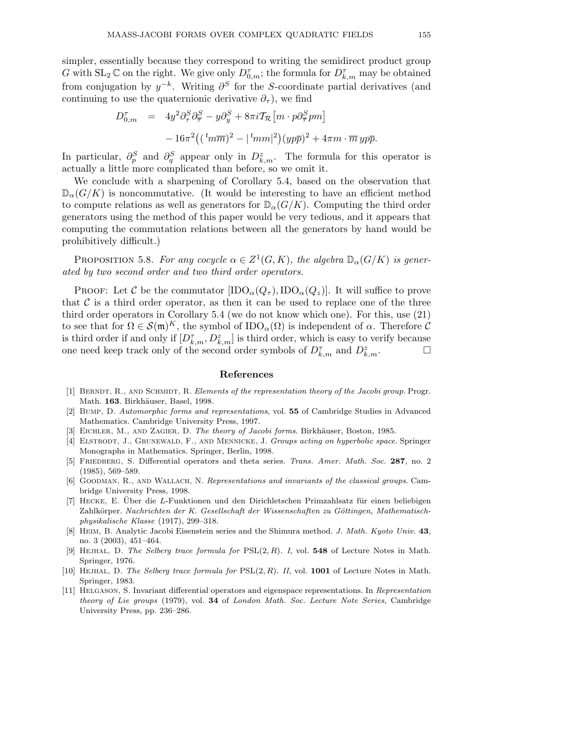simpler, essentially because they correspond to writing the semidirect product group G with  $SL_2 \mathbb{C}$  on the right. We give only  $D_{0,m}^{\tau}$ ; the formula for  $D_{k,m}^{\tau}$  may be obtained from conjugation by  $y^{-k}$ . Writing  $\partial^{S}$  for the S-coordinate partial derivatives (and continuing to use the quaternionic derivative  $\partial_{\tau}$ ), we find

$$
D_{0,m}^{\tau} = 4y^2 \partial_{\tau}^{S} \partial_{\overline{\tau}}^{S} - y \partial_{y}^{S} + 8\pi i \mathcal{T}_{\mathcal{R}} \left[ m \cdot p \partial_{\overline{\tau}}^{S} p m \right] - 16\pi^2 \left( (\,{}^{t}m\overline{m})^2 - |{}^{t}m m|^2 \right) (yp\overline{p})^2 + 4\pi m \cdot \overline{m} \, yp\overline{p}.
$$

In particular,  $\partial_p^S$  and  $\partial_q^S$  appear only in  $D_{k,m}^z$ . The formula for this operator is actually a little more complicated than before, so we omit it.

We conclude with a sharpening of Corollary 5.4, based on the observation that  $\mathbb{D}_{\alpha}(G/K)$  is noncommutative. (It would be interesting to have an efficient method to compute relations as well as generators for  $\mathbb{D}_{\alpha}(G/K)$ . Computing the third order generators using the method of this paper would be very tedious, and it appears that computing the commutation relations between all the generators by hand would be prohibitively difficult.)

PROPOSITION 5.8. For any cocycle  $\alpha \in Z^1(G,K)$ , the algebra  $\mathbb{D}_{\alpha}(G/K)$  is generated by two second order and two third order operators.

PROOF: Let C be the commutator  $[IDO_{\alpha}(Q_{\tau}), IDO_{\alpha}(Q_{z})]$ . It will suffice to prove that  $\mathcal C$  is a third order operator, as then it can be used to replace one of the three third order operators in Corollary 5.4 (we do not know which one). For this, use (21) to see that for  $\Omega \in \mathcal{S}(\mathfrak{m})^K$ , the symbol of  $\text{IDO}_\alpha(\Omega)$  is independent of  $\alpha$ . Therefore  $\mathcal C$ is third order if and only if  $[D_{k,m}^{\tau}, D_{k,m}^{\tau}]$  is third order, which is easy to verify because one need keep track only of the second order symbols of  $D_{k,m}^{\tau}$  and  $D_{k,m}^z$ .

# **References**

- [1] BERNDT, R., AND SCHMIDT, R. Elements of the representation theory of the Jacobi group. Progr. Math. 163. Birkhäuser, Basel, 1998.
- [2] Bump, D. Automorphic forms and representations, vol. **55** of Cambridge Studies in Advanced Mathematics. Cambridge University Press, 1997.
- [3] EICHLER, M., AND ZAGIER, D. The theory of Jacobi forms. Birkhäuser, Boston, 1985.
- [4] ELSTRODT, J., GRUNEWALD, F., AND MENNICKE, J. Groups acting on hyperbolic space. Springer Monographs in Mathematics. Springer, Berlin, 1998.
- [5] Friedberg, S. Differential operators and theta series. Trans. Amer. Math. Soc. **287**, no. 2 (1985), 569–589.
- [6] GOODMAN, R., AND WALLACH, N. Representations and invariants of the classical groups. Cambridge University Press, 1998.
- [7] HECKE, E. Über die L-Funktionen und den Dirichletschen Primzahlsatz für einen beliebigen Zahlkörper. Nachrichten der K. Gesellschaft der Wissenschaften zu Göttingen, Mathematischphysikalische Klasse (1917), 299–318.
- [8] Heim, B. Analytic Jacobi Eisenstein series and the Shimura method. J. Math. Kyoto Univ. **43**, no. 3 (2003), 451–464.
- [9] Hejhal, D. The Selberg trace formula for PSL(2, R). I, vol. **548** of Lecture Notes in Math. Springer, 1976.
- [10] HEJHAL, D. The Selberg trace formula for  $PSL(2, R)$ . II, vol. **1001** of Lecture Notes in Math. Springer, 1983.
- [11] HELGASON, S. Invariant differential operators and eigenspace representations. In Representation theory of Lie groups (1979), vol. **34** of London Math. Soc. Lecture Note Series, Cambridge University Press, pp. 236–286.